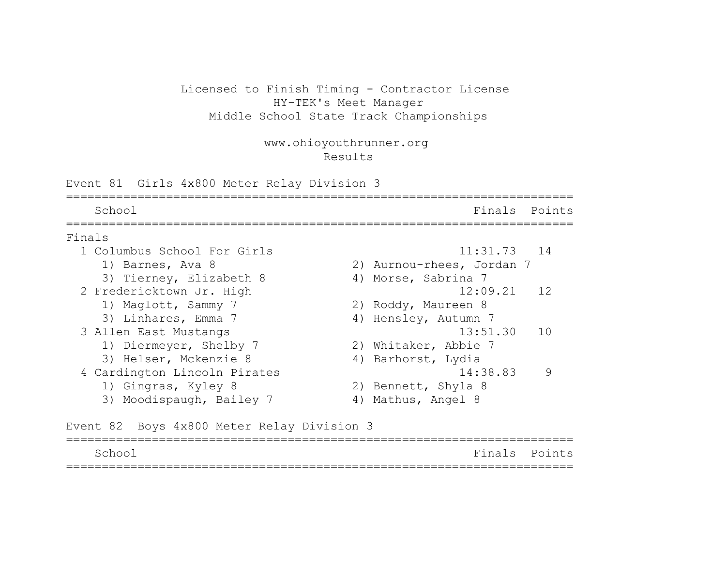#### Licensed to Finish Timing - Contractor License HY-TEK's Meet Manager Middle School State Track Championships

www.ohioyouthrunner.org Results

Event 81 Girls 4x800 Meter Relay Division 3 =======================================================================

School **Finals** Points ======================================================================= Finals 1 Columbus School For Girls 11:31.73 14 1) Barnes, Ava 8 2) Aurnou-rhees, Jordan 7 3) Tierney, Elizabeth 8 4) Morse, Sabrina 7 2 Fredericktown Jr. High 12:09.21 12 1) Maglott, Sammy 7 2) Roddy, Maureen 8 3) Linhares, Emma 7 (4) Hensley, Autumn 7 3 Allen East Mustangs 13:51.30 10 1) Diermeyer, Shelby 7 2) Whitaker, Abbie 7 3) Helser, Mckenzie 8 4) Barhorst, Lydia 4 Cardington Lincoln Pirates 14:38.83 9 1) Gingras, Kyley 8 2) Bennett, Shyla 8 3) Moodispaugh, Bailey 7 4) Mathus, Angel 8

Event 82 Boys 4x800 Meter Relay Division 3

| School | Finals Points |  |
|--------|---------------|--|
|        |               |  |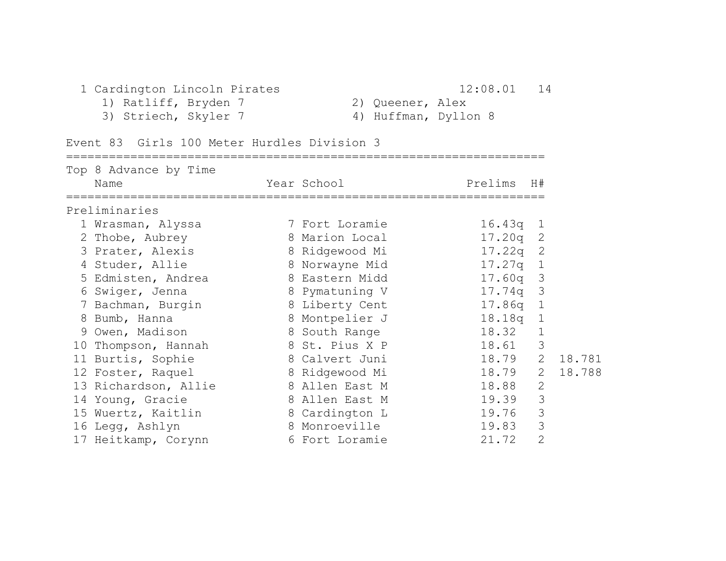## 1 Cardington Lincoln Pirates 12:08.01 14

1) Ratliff, Bryden 7 2) Queener, Alex 3) Striech, Skyler 7 (4) Huffman, Dyllon 8

| Event 83 Girls 100 Meter Hurdles Division 3 |  |  |
|---------------------------------------------|--|--|
|---------------------------------------------|--|--|

| Top 8 Advance by Time<br>Name | Year School    | Prelims H# |                |        |
|-------------------------------|----------------|------------|----------------|--------|
| Preliminaries                 |                |            |                |        |
| 1 Wrasman, Alyssa             | 7 Fort Loramie | 16.43q     | $\perp$        |        |
| 2 Thobe, Aubrey               | 8 Marion Local | $17.20q$ 2 |                |        |
| 3 Prater, Alexis              | 8 Ridgewood Mi | 17.22q     | 2              |        |
| 4 Studer, Allie               | 8 Norwayne Mid | 17.27q     | $\mathbf{1}$   |        |
| 5 Edmisten, Andrea            | 8 Eastern Midd | 17.60q     | 3              |        |
| 6 Swiger, Jenna               | 8 Pymatuning V | 17.74q     | 3              |        |
| 7 Bachman, Burgin             | 8 Liberty Cent | 17.86q     | $\mathbf 1$    |        |
| 8 Bumb, Hanna                 | 8 Montpelier J | 18.18q     | $\mathbf 1$    |        |
| 9 Owen, Madison               | 8 South Range  | 18.32      | $\mathbf 1$    |        |
| 10 Thompson, Hannah           | 8 St. Pius X P | 18.61      | 3              |        |
| 11 Burtis, Sophie             | 8 Calvert Juni | 18.79      | $\overline{2}$ | 18.781 |
| 12 Foster, Raquel             | 8 Ridgewood Mi | 18.79      | $2^{\circ}$    | 18.788 |
| 13 Richardson, Allie          | 8 Allen East M | 18.88      | $\mathbf{2}$   |        |
| 14 Young, Gracie              | 8 Allen East M | 19.39      | 3              |        |
| 15 Wuertz, Kaitlin            | 8 Cardington L | 19.76      | 3              |        |
| 16 Legg, Ashlyn               | 8 Monroeville  | 19.83      | 3              |        |
| 17 Heitkamp, Corynn           | 6 Fort Loramie | 21.72      | $\overline{2}$ |        |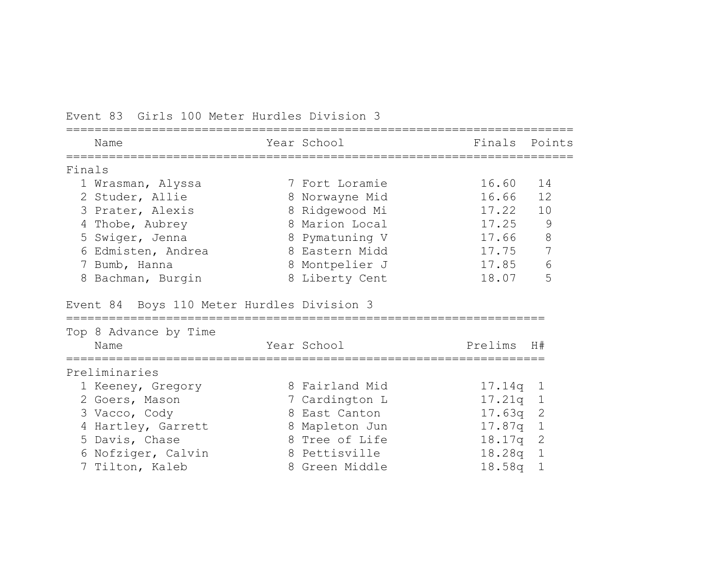|        | Name                                       | Year School    | Finals  | Points       |
|--------|--------------------------------------------|----------------|---------|--------------|
| Finals |                                            |                |         |              |
|        | 1 Wrasman, Alyssa                          | 7 Fort Loramie | 16.60   | 14           |
|        | 2 Studer, Allie                            | 8 Norwayne Mid | 16.66   | 12           |
|        | 3 Prater, Alexis                           | 8 Ridgewood Mi | 17.22   | 10           |
|        | 4 Thobe, Aubrey                            | 8 Marion Local | 17.25   | 9            |
|        | 5 Swiger, Jenna                            | 8 Pymatuning V | 17.66   | 8            |
|        | 6 Edmisten, Andrea                         | 8 Eastern Midd | 17.75   | 7            |
|        | 7 Bumb, Hanna                              | 8 Montpelier J | 17.85   | 6            |
|        | 8 Bachman, Burgin                          | 8 Liberty Cent | 18.07   | 5            |
|        | Event 84 Boys 110 Meter Hurdles Division 3 |                |         |              |
|        | Top 8 Advance by Time                      |                |         |              |
|        | Name                                       | Year School    | Prelims | H#           |
|        | Preliminaries                              |                |         |              |
|        | 1 Keeney, Gregory                          | 8 Fairland Mid | 17.14q  | $\mathbf{1}$ |
|        | 2 Goers, Mason                             | 7 Cardington L | 17.21q  | $\mathbf{1}$ |
|        | 3 Vacco, Cody                              | 8 East Canton  | 17.63q  | 2            |
|        | 4 Hartley, Garrett                         | 8 Mapleton Jun | 17.87q  | $1\,$        |
|        | 5 Davis, Chase                             | 8 Tree of Life | 18.17q  | 2            |
|        | 6 Nofziger, Calvin                         | 8 Pettisville  | 18.28q  | $\mathbf{1}$ |
|        | 7 Tilton, Kaleb                            | 8 Green Middle | 18.58q  | $\mathbf 1$  |

Event 83 Girls 100 Meter Hurdles Division 3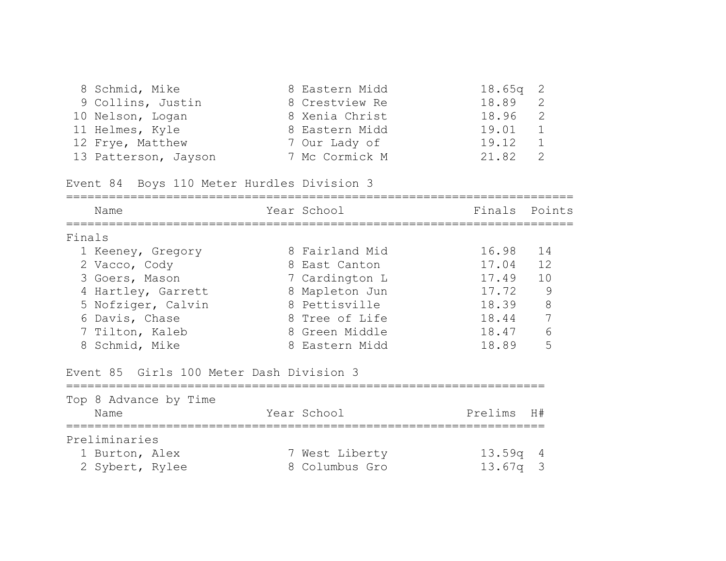| 8 Schmid, Mike       | 8 Eastern Midd | $18.65q$ 2 |                |
|----------------------|----------------|------------|----------------|
| 9 Collins, Justin    | 8 Crestview Re | 18.89      | $\overline{2}$ |
| 10 Nelson, Logan     | 8 Xenia Christ | 18.96 2    |                |
| 11 Helmes, Kyle      | 8 Eastern Midd | 19.01      | $\frac{1}{2}$  |
| 12 Frye, Matthew     | 7 Our Lady of  | 19.12      |                |
| 13 Patterson, Jayson | 7 Mc Cormick M | 21.82      |                |

Event 84 Boys 110 Meter Hurdles Division 3

|        | Name                                     | Year School    | Finals  | Points |
|--------|------------------------------------------|----------------|---------|--------|
| Finals |                                          |                |         |        |
|        | 1 Keeney, Gregory                        | 8 Fairland Mid | 16.98   | 14     |
|        | 2 Vacco, Cody                            | 8 East Canton  | 17.04   | 12     |
|        | 3 Goers, Mason                           | 7 Cardington L | 17.49   | 10     |
|        | 4 Hartley, Garrett                       | 8 Mapleton Jun | 17.72   | 9      |
|        | 5 Nofziger, Calvin                       | 8 Pettisville  | 18.39   | 8      |
|        | 6 Davis, Chase                           | 8 Tree of Life | 18.44   | 7      |
|        | 7 Tilton, Kaleb                          | 8 Green Middle | 18.47   | 6      |
|        | 8 Schmid, Mike                           | 8 Eastern Midd | 18.89   | 5      |
|        | Event 85 Girls 100 Meter Dash Division 3 |                |         |        |
|        | Top 8 Advance by Time                    |                |         |        |
|        | Name                                     | Year School    | Prelims | H#     |
|        | Preliminaries                            |                |         |        |
|        | 1 Burton, Alex                           | 7 West Liberty | 13.59q  | 4      |

2 Sybert, Rylee 8 Columbus Gro 13.67q 3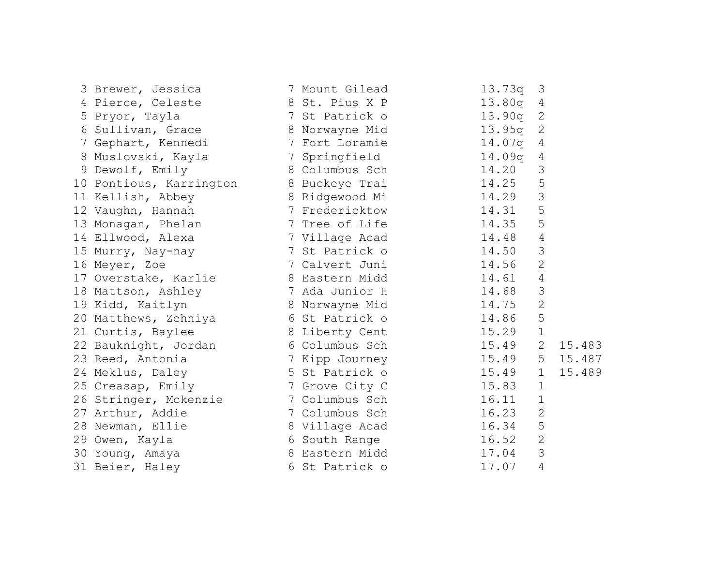| 3 Brewer, Jessica                      | 7 Mount Gilead                   | 13.73q<br>3                     |
|----------------------------------------|----------------------------------|---------------------------------|
| 4 Pierce, Celeste                      | 8 St. Pius X P                   | 13.80q<br>4                     |
| 5 Pryor, Tayla                         | 7 St Patrick o                   | $\mathbf{2}$<br>13.90q          |
|                                        | 6 Sullivan, Grace 8 Norwayne Mid | $\mathbf{2}$<br>13.95q          |
| 7 Gephart, Kennedi 1 7 Fort Loramie    |                                  | 14.07q<br>4                     |
| 8 Muslovski, Kayla                     | 7 Springfield                    | 14.09q<br>4                     |
| 9 Dewolf, Emily                        | 8 Columbus Sch                   | 3<br>14.20                      |
| 10 Pontious, Karrington 8 Buckeye Trai |                                  | 5<br>14.25                      |
| 11 Kellish, Abbey                      | 8 Ridgewood Mi                   | 3<br>14.29                      |
| 12 Vaughn, Hannah                      | 7 Fredericktow                   | 5<br>14.31                      |
| 13 Monagan, Phelan 7 Tree of Life      |                                  | 5<br>14.35                      |
| 14 Ellwood, Alexa                      | 7 Village Acad                   | 14.48<br>4                      |
| 15 Murry, Nay-nay                      | 7 St Patrick o                   | 3<br>14.50                      |
| 16 Meyer, Zoe                          | 7 Calvert Juni                   | $\overline{2}$<br>14.56         |
| 17 Overstake, Karlie 17 8 Eastern Midd |                                  | $\overline{4}$<br>14.61         |
| 18 Mattson, Ashley                     | 7 Ada Junior H                   | 3<br>14.68                      |
| 19 Kidd, Kaitlyn                       | 8 Norwayne Mid                   | $\sqrt{2}$<br>14.75             |
| 20 Matthews, Zehniya 6 St Patrick o    |                                  | 5<br>14.86                      |
| 21 Curtis, Baylee                      | 8 Liberty Cent 15.29             | $\mathbf 1$                     |
| 22 Bauknight, Jordan 6 Columbus Sch    |                                  | $\mathbf{2}$<br>15.49<br>15.483 |
| 23 Reed, Antonia                       | 7 Kipp Journey 15.49             | 5<br>15.487                     |
| 24 Meklus, Daley                       | 5 St Patrick o                   | 15.489<br>15.49<br>$\mathbf 1$  |
| 25 Creasap, Emily                      | 7 Grove City C                   | 15.83<br>$\mathbf{1}$           |
| 26 Stringer, Mckenzie 1 7 Columbus Sch |                                  | $\mathbf 1$<br>16.11            |
| 27 Arthur, Addie                       | 7 Columbus Sch                   | $\overline{2}$<br>16.23         |
| 28 Newman, Ellie                       | 8 Village Acad                   | 5<br>16.34                      |
| 29 Owen, Kayla                         | 6 South Range                    | $\overline{2}$<br>16.52         |
| 30 Young, Amaya                        | 8 Eastern Midd                   | $\mathcal{S}$<br>17.04          |
| 31 Beier, Haley                        | 6 St Patrick o                   | $\overline{4}$<br>17.07         |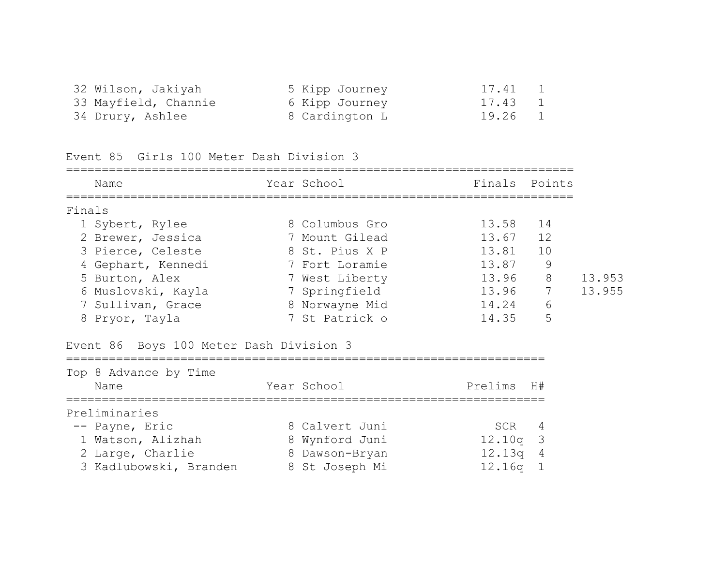| 32 Wilson, Jakiyah   | 5 Kipp Journey | 17.41 1 |  |
|----------------------|----------------|---------|--|
| 33 Mayfield, Channie | 6 Kipp Journey | 17.43 1 |  |
| 34 Drury, Ashlee     | 8 Cardington L | 19.26 1 |  |

Event 85 Girls 100 Meter Dash Division 3

|        | Name                                    | Year School    | Finals Points |               |        |
|--------|-----------------------------------------|----------------|---------------|---------------|--------|
| Finals |                                         |                |               |               |        |
|        | 1 Sybert, Rylee                         | 8 Columbus Gro | 13.58 14      |               |        |
|        | 2 Brewer, Jessica                       | 7 Mount Gilead | 13.67 12      |               |        |
|        | 3 Pierce, Celeste                       | 8 St. Pius X P | 13.81 10      |               |        |
|        | 4 Gephart, Kennedi                      | 7 Fort Loramie | 13.87         | $\mathsf 9$   |        |
|        | 5 Burton, Alex                          | 7 West Liberty | 13.96 8       |               | 13.953 |
|        | 6 Muslovski, Kayla                      | 7 Springfield  | 13.96 7       |               | 13.955 |
|        | 7 Sullivan, Grace                       | 8 Norwayne Mid | 14.24         | 6             |        |
|        | 8 Pryor, Tayla                          | 7 St Patrick o | 14.35         | 5             |        |
|        | Event 86 Boys 100 Meter Dash Division 3 |                |               |               |        |
|        | Top 8 Advance by Time                   |                |               |               |        |
|        | Name                                    | Year School    | Prelims       | H#            |        |
|        | Preliminaries                           |                |               |               |        |
|        | -- Payne, Eric                          | 8 Calvert Juni | SCR           | 4             |        |
|        | 1 Watson, Alizhah                       | 8 Wynford Juni | 12.10q        | $\mathcal{S}$ |        |
|        | 2 Large, Charlie                        | 8 Dawson-Bryan | 12.13q 4      |               |        |
|        | 3 Kadlubowski, Branden                  | 8 St Joseph Mi | 12.16q        | $\mathbf{1}$  |        |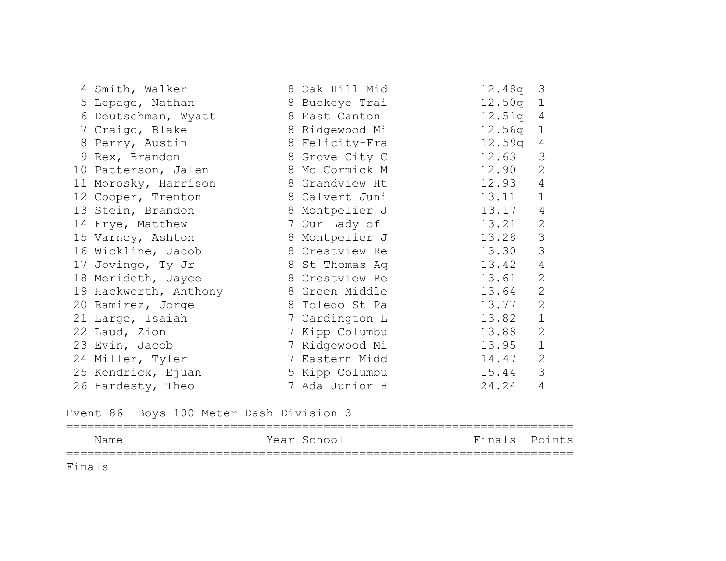| 4 Smith, Walker       | 8 Oak Hill Mid | 12.48q 3   |                |
|-----------------------|----------------|------------|----------------|
| 5 Lepage, Nathan      | 8 Buckeye Trai | $12.50q$ 1 |                |
| 6 Deutschman, Wyatt   | 8 East Canton  | 12.51q 4   |                |
| 7 Craigo, Blake       | 8 Ridgewood Mi | $12.56q$ 1 |                |
| 8 Perry, Austin       | 8 Felicity-Fra | 12.59q 4   |                |
| 9 Rex, Brandon        | 8 Grove City C | 12.63      | 3              |
| 10 Patterson, Jalen   | 8 Mc Cormick M | 12.90      | 2              |
| 11 Morosky, Harrison  | 8 Grandview Ht | 12.93      | 4              |
| 12 Cooper, Trenton    | 8 Calvert Juni | 13.11      | $\mathbf 1$    |
| 13 Stein, Brandon     | 8 Montpelier J | 13.17      | 4              |
| 14 Frye, Matthew      | 7 Our Lady of  | 13.21      | $\mathbf{2}$   |
| 15 Varney, Ashton     | 8 Montpelier J | 13.28      | 3              |
| 16 Wickline, Jacob    | 8 Crestview Re | 13.30      | 3              |
| 17 Jovingo, Ty Jr     | 8 St Thomas Aq | 13.42      | $\overline{4}$ |
| 18 Merideth, Jayce    | 8 Crestview Re | 13.61      | $\mathbf{2}$   |
| 19 Hackworth, Anthony | 8 Green Middle | 13.64      | $\mathbf{2}$   |
| 20 Ramirez, Jorge     | 8 Toledo St Pa | 13.77      | $\mathbf{2}$   |
| 21 Large, Isaiah      | 7 Cardington L | 13.82      | $\mathbf{1}$   |
| 22 Laud, Zion         | 7 Kipp Columbu | 13.88      | $\mathbf{2}$   |
| 23 Evin, Jacob        | 7 Ridgewood Mi | 13.95      | $\mathbf 1$    |
| 24 Miller, Tyler      | 7 Eastern Midd | 14.47      | 2              |
| 25 Kendrick, Ejuan    | 5 Kipp Columbu | 15.44      | 3              |
| 26 Hardesty, Theo     | 7 Ada Junior H | 24.24      | $\overline{4}$ |

Event 86 Boys 100 Meter Dash Division 3

======================================================================= Name Year School Finals Points ======================================================================= Finals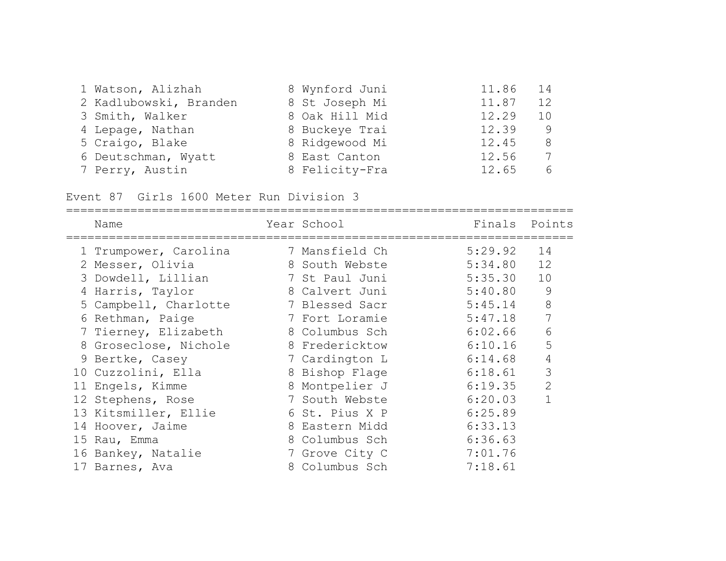| 1 Watson, Alizhah      | 8 Wynford Juni | 11.86 | $14$ |
|------------------------|----------------|-------|------|
| 2 Kadlubowski, Branden | 8 St Joseph Mi | 11.87 | 12   |
| 3 Smith, Walker        | 8 Oak Hill Mid | 12.29 | 10   |
| 4 Lepage, Nathan       | 8 Buckeye Trai | 12.39 | 9    |
| 5 Craigo, Blake        | 8 Ridgewood Mi | 12.45 | 8    |
| 6 Deutschman, Wyatt    | 8 East Canton  | 12.56 | 7    |
| 7 Perry, Austin        | 8 Felicity-Fra | 12.65 | 6    |

Event 87 Girls 1600 Meter Run Division 3

|   | Name                  | Year School    | Finals  | Points         |
|---|-----------------------|----------------|---------|----------------|
|   | 1 Trumpower, Carolina | 7 Mansfield Ch | 5:29.92 | 14             |
|   | 2 Messer, Olivia      | 8 South Webste | 5:34.80 | 12             |
|   | 3 Dowdell, Lillian    | 7 St Paul Juni | 5:35.30 | 10             |
| 4 | Harris, Taylor        | 8 Calvert Juni | 5:40.80 | 9              |
|   | 5 Campbell, Charlotte | 7 Blessed Sacr | 5:45.14 | 8              |
|   | 6 Rethman, Paige      | 7 Fort Loramie | 5:47.18 |                |
|   | 7 Tierney, Elizabeth  | 8 Columbus Sch | 6:02.66 | 6              |
|   | 8 Groseclose, Nichole | 8 Fredericktow | 6:10.16 | 5              |
|   | 9 Bertke, Casey       | 7 Cardington L | 6:14.68 | $\overline{4}$ |
|   | 10 Cuzzolini, Ella    | 8 Bishop Flage | 6:18.61 | 3              |
|   | 11 Engels, Kimme      | 8 Montpelier J | 6:19.35 | $\mathbf{2}$   |
|   | 12 Stephens, Rose     | 7 South Webste | 6:20.03 |                |
|   | 13 Kitsmiller, Ellie  | 6 St. Pius X P | 6:25.89 |                |
|   | 14 Hoover, Jaime      | 8 Eastern Midd | 6:33.13 |                |
|   | 15 Rau, Emma          | 8 Columbus Sch | 6:36.63 |                |
|   | 16 Bankey, Natalie    | 7 Grove City C | 7:01.76 |                |
|   | 17 Barnes, Ava        | 8 Columbus Sch | 7:18.61 |                |
|   |                       |                |         |                |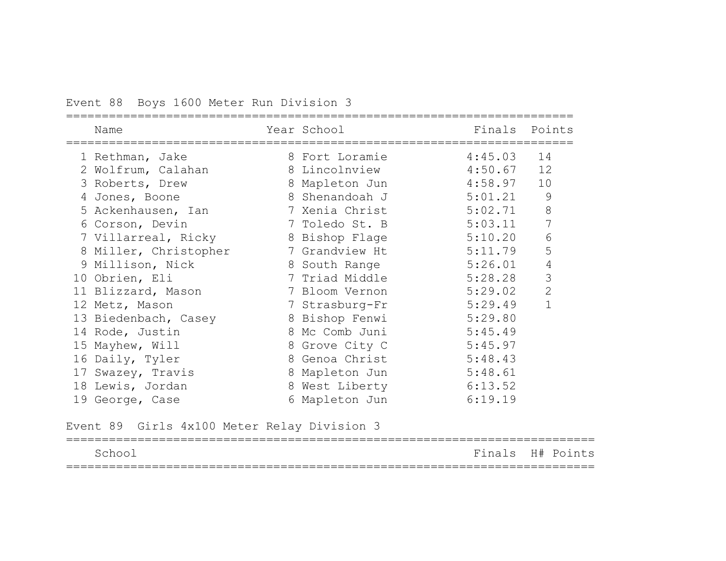## Event 88 Boys 1600 Meter Run Division 3

| Name<br>================================ | Year School and the School<br>============================= | Finals Points |                |
|------------------------------------------|-------------------------------------------------------------|---------------|----------------|
| 1 Rethman, Jake                          | 8 Fort Loramie                                              | 4:45.03       | 14             |
| 2 Wolfrum, Calahan                       | 8 Lincolnview 4:50.67                                       |               | 12             |
| 3 Roberts, Drew                          | 8 Mapleton Jun 4:58.97                                      |               | 10             |
| 4 Jones, Boone                           | 8 Shenandoah J                                              | 5:01.21       | 9              |
| 5 Ackenhausen, Ian                       | 7 Xenia Christ                                              | 5:02.71       | $8\,$          |
| 6 Corson, Devin                          | 7 Toledo St. B                                              | 5:03.11       | 7              |
| 7 Villarreal, Ricky                      | 8 Bishop Flage                                              | 5:10.20       | $\epsilon$     |
| 8 Miller, Christopher                    | 7 Grandview Ht                                              | 5:11.79       | 5              |
| 9 Millison, Nick                         | 8 South Range                                               | 5:26.01       | $\overline{4}$ |
| 10 Obrien, Eli                           | 7 Triad Middle                                              | 5:28.28       | 3              |
| 11 Blizzard, Mason                       | 7 Bloom Vernon                                              | 5:29.02       | $\mathbf{2}$   |
| 12 Metz, Mason                           | 7 Strasburg-Fr                                              | 5:29.49       | $\mathbf{1}$   |
| 13 Biedenbach, Casey                     | 8 Bishop Fenwi                                              | 5:29.80       |                |
| 14 Rode, Justin                          | 8 Mc Comb Juni                                              | 5:45.49       |                |
| 15 Mayhew, Will                          | 8 Grove City C                                              | 5:45.97       |                |
| 16 Daily, Tyler                          | 8 Genoa Christ                                              | 5:48.43       |                |
| 17 Swazey, Travis                        | 8 Mapleton Jun                                              | 5:48.61       |                |
| 18 Lewis, Jordan                         | 8 West Liberty                                              | 6:13.52       |                |
| 19 George, Case                          | 6 Mapleton Jun                                              | 6:19.19       |                |

Event 89 Girls 4x100 Meter Relay Division 3

| School |  | Finals H# Points |  |
|--------|--|------------------|--|
|        |  |                  |  |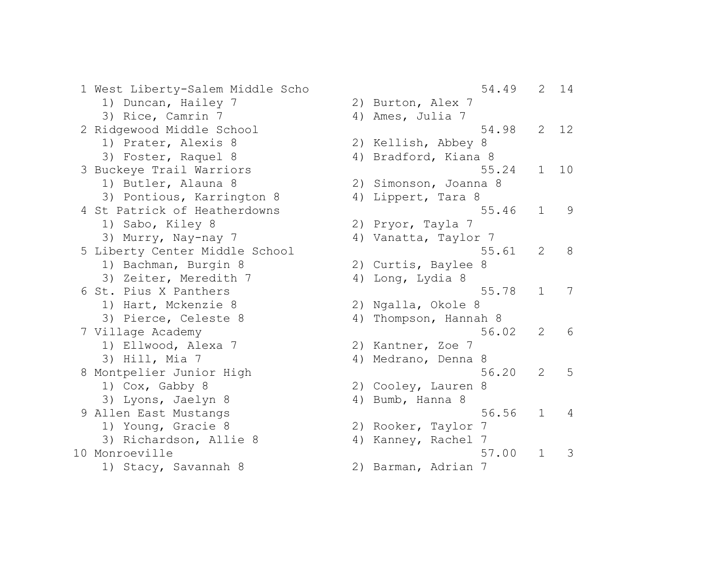1 West Liberty-Salem Middle Scho 1) Duncan, Hailey 7 3) Rice, Camrin 7 2 Ridgewood Middle School 1) Prater, Alexis 8 3) Foster, Raquel 8 3 Buckeye Trail Warriors 1) Butler, Alauna 8 3) Pontious, Karrington 8 4 St Patrick of Heatherdowns 1) Sabo, Kiley 8 3) Murry, Nay-nay 7 5 Liberty Center Middle School 1) Bachman, Burgin 8 3) Zeiter, Meredith 7 6 St. Pius X Panthers 1) Hart, Mckenzie 8 3) Pierce, Celeste 8 7 Village Academy 1) Ellwood, Alexa 7  $3)$  Hill, Mia 7 8 Montpelier Junior High 1)  $Cox$ , Gabby 8 3) Lyons, Jaelyn 8 9 Allen East Mustangs 1) Young, Gracie 8 3) Richardson, Allie 8 10 Monroeville 1) Stacy, Savannah 8 2) Barman, Adria

|    | 54.49                  | 2              | 14 |
|----|------------------------|----------------|----|
|    | 2) Burton, Alex 7      |                |    |
|    | 4) Ames, Julia 7       |                |    |
|    | 54.98                  | $\mathbf{2}$   | 12 |
|    | 2) Kellish, Abbey 8    |                |    |
|    | 4) Bradford, Kiana 8   |                |    |
|    | 55.24                  | $\mathbf 1$    | 10 |
|    | 2) Simonson, Joanna 8  |                |    |
| 4) | Lippert, Tara 8        |                |    |
|    | 55.46                  | $\mathbf 1$    | 9  |
|    | 2) Pryor, Tayla 7      |                |    |
|    | 4) Vanatta, Taylor 7   |                |    |
|    | 55.61                  | $\mathbf{2}$   | 8  |
|    | 2) Curtis, Baylee<br>8 |                |    |
|    | 4) Long, Lydia 8       |                |    |
|    | 55.78                  | 1              | 7  |
|    | 2) Ngalla, Okole 8     |                |    |
| 4) | Thompson, Hannah 8     | $\overline{2}$ |    |
|    | 56.02                  |                | 6  |
|    | 2) Kantner, Zoe 7      |                |    |
|    | 4) Medrano, Denna<br>8 |                |    |
|    | 56.20                  | $\overline{2}$ | 5  |
| 2) | Cooley, Lauren<br>8    |                |    |
| 4) | Bumb, Hanna 8          |                |    |
|    | 56.56                  | $\mathbf 1$    | 4  |
|    | 2) Rooker, Taylor<br>7 |                |    |
|    | 4) Kanney, Rachel<br>7 | $\mathbf 1$    |    |
|    | 57.00                  |                | 3  |
| 2) | Barman, Adrian<br>-7   |                |    |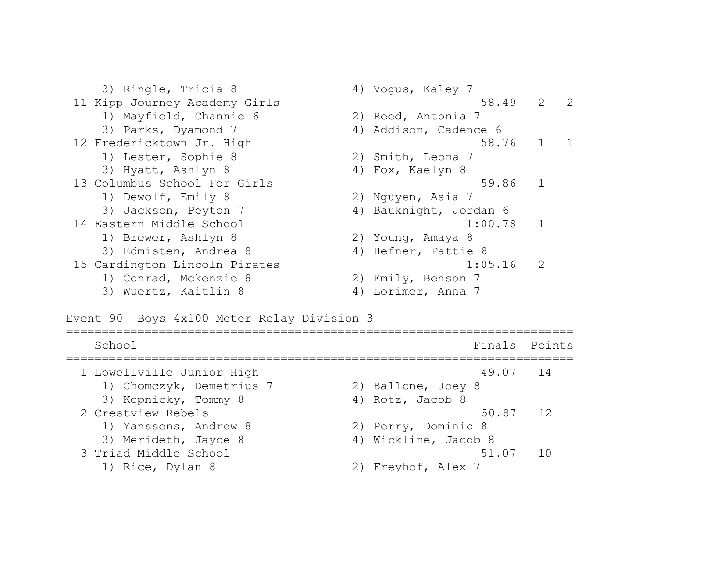3) Ringle, Tricia 8 4) Vogus, Kaley 7 11 Kipp Journey Academy Girls 58.49 2 2 1) Mayfield, Channie 6 2) Reed, Antonia 7 3) Parks, Dyamond 7 (4) Addison, Cadence 6 12 Fredericktown Jr. High 58.76 1 1 1) Lester, Sophie 8 2) Smith, Leona 7 3) Hyatt, Ashlyn 8 4) Fox, Kaelyn 8 13 Columbus School For Girls 59.86 1 1) Dewolf, Emily 8 2) Nguyen, Asia 7 3) Jackson, Peyton 7 (4) Bauknight, Jordan 6 14 Eastern Middle School 1:00.78 1 1) Brewer, Ashlyn 8 2) Young, Amaya 8 3) Edmisten, Andrea 8 4) Hefner, Pattie 8 15 Cardington Lincoln Pirates 1:05.16 2 1) Conrad, Mckenzie 8 2) Emily, Benson 7 3) Wuertz, Kaitlin 8 4) Lorimer, Anna 7

Event 90 Boys 4x100 Meter Relay Division 3

| School                    |                      | Finals Points   |
|---------------------------|----------------------|-----------------|
| 1 Lowellville Junior High | 49.07 14             |                 |
| 1) Chomczyk, Demetrius 7  | 2) Ballone, Joey 8   |                 |
| 3) Kopnicky, Tommy 8      | 4) Rotz, Jacob 8     |                 |
| 2 Crestview Rebels        | 50.87 12             |                 |
| 1) Yanssens, Andrew 8     | 2) Perry, Dominic 8  |                 |
| 3) Merideth, Jayce 8      | 4) Wickline, Jacob 8 |                 |
| 3 Triad Middle School     | 51.07                | $\overline{10}$ |
| 1) Rice, Dylan 8          | 2) Freyhof, Alex 7   |                 |
|                           |                      |                 |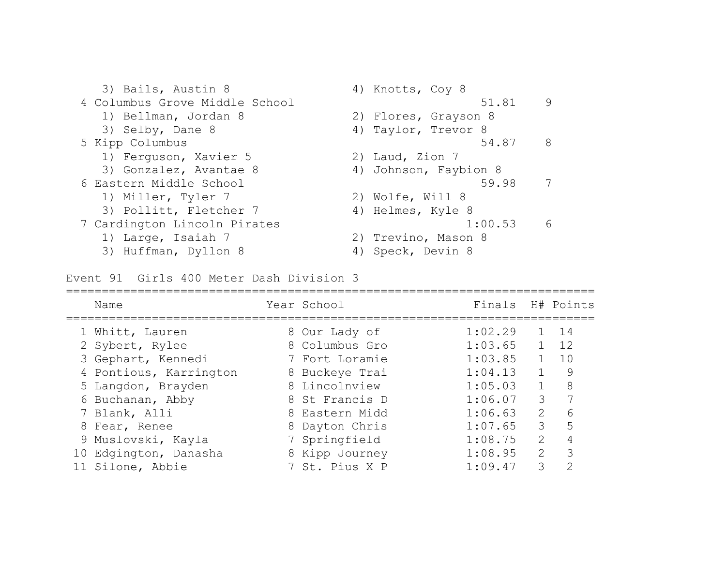3) Bails, Austin 8 4) Knotts, Coy 8 4 Columbus Grove Middle School 51.81 9 1) Bellman, Jordan 8 2) Flores, Grayson 8 3) Selby, Dane 8 4) Taylor, Trevor 8 5 Kipp Columbus 54.87 8 1) Ferguson, Xavier 5 2) Laud, Zion 7 3) Gonzalez, Avantae 8 (4) Johnson, Faybion 8 6 Eastern Middle School 59.98 7 1) Miller, Tyler 7 2) Wolfe, Will 8 3) Pollitt, Fletcher 7 4) Helmes, Kyle 8 7 Cardington Lincoln Pirates 1:00.53 6 1) Large, Isaiah 7 2) Trevino, Mason 8 3) Huffman, Dyllon 8 4) Speck, Devin 8

Event 91 Girls 400 Meter Dash Division 3

| Name                   | Year School    | Finals H# Points |               |    |
|------------------------|----------------|------------------|---------------|----|
| 1 Whitt, Lauren        | 8 Our Lady of  | 1:02.29          |               | 14 |
| 2 Sybert, Rylee        | 8 Columbus Gro | 1:03.65          |               | 12 |
| 3 Gephart, Kennedi     | 7 Fort Loramie | 1:03.85          |               | 10 |
| 4 Pontious, Karrington | 8 Buckeye Trai | 1:04.13          |               | 9  |
| 5 Langdon, Brayden     | 8 Lincolnview  | 1:05.03          |               | 8  |
| 6 Buchanan, Abby       | 8 St Francis D | 1:06.07          | 3             |    |
| 7 Blank, Alli          | 8 Eastern Midd | 1:06.63          | 2             | 6  |
| 8 Fear, Renee          | 8 Dayton Chris | 1:07.65          | 3             | 5  |
| 9 Muslovski, Kayla     | 7 Springfield  | 1:08.75          | $\mathcal{L}$ |    |
| 10 Edgington, Danasha  | 8 Kipp Journey | 1:08.95          | 2             | 3  |
| 11 Silone, Abbie       | 7 St. Pius X P | 1:09.47          | 3             | ⌒  |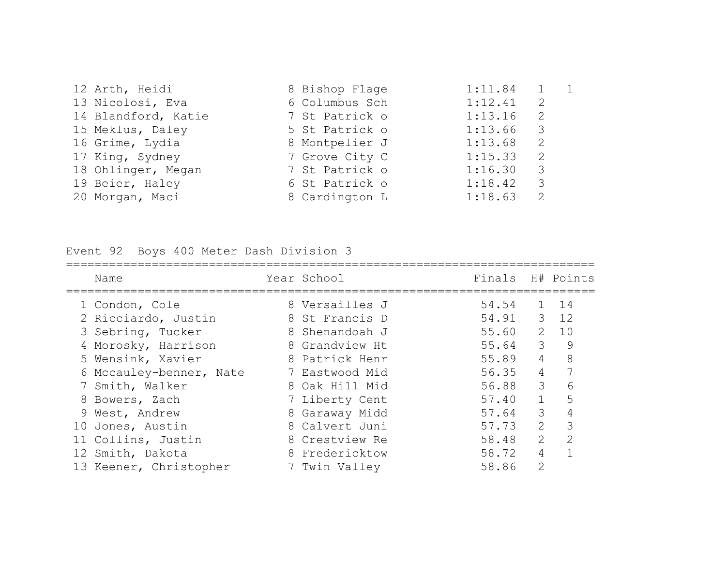| 12 Arth, Heidi      | 8 Bishop Flage | 1:11.84 | $1 \quad 1$   |  |
|---------------------|----------------|---------|---------------|--|
| 13 Nicolosi, Eva    | 6 Columbus Sch | 1:12.41 | 2             |  |
| 14 Blandford, Katie | 7 St Patrick o | 1:13.16 | 2             |  |
| 15 Meklus, Daley    | 5 St Patrick o | 1:13.66 | 3             |  |
| 16 Grime, Lydia     | 8 Montpelier J | 1:13.68 | 2             |  |
| 17 King, Sydney     | 7 Grove City C | 1:15.33 | 2             |  |
| 18 Ohlinger, Megan  | 7 St Patrick o | 1:16.30 | 3             |  |
| 19 Beier, Haley     | 6 St Patrick o | 1:18.42 | 3             |  |
| 20 Morgan, Maci     | 8 Cardington L | 1:18.63 | $\mathcal{L}$ |  |

Event 92 Boys 400 Meter Dash Division 3

| Name                    | Year School    | Finals |                         | H# Points     |
|-------------------------|----------------|--------|-------------------------|---------------|
| 1 Condon, Cole          | 8 Versailles J | 54.54  | $\mathbf{1}$            | 14            |
| 2 Ricciardo, Justin     | 8 St Francis D | 54.91  |                         | $3 \t12$      |
| 3 Sebring, Tucker       | 8 Shenandoah J | 55.60  | 2                       | 10            |
| 4 Morosky, Harrison     | 8 Grandview Ht | 55.64  | $\mathcal{S}$           | 9             |
| 5 Wensink, Xavier       | 8 Patrick Henr | 55.89  | $\overline{4}$          | 8             |
| 6 Mccauley-benner, Nate | 7 Eastwood Mid | 56.35  | 4                       |               |
| 7 Smith, Walker         | 8 Oak Hill Mid | 56.88  | $\overline{\mathbf{3}}$ | 6             |
| 8 Bowers, Zach          | 7 Liberty Cent | 57.40  | $\mathbf{1}$            | 5             |
| 9 West, Andrew          | 8 Garaway Midd | 57.64  | 3                       | 4             |
| 10 Jones, Austin        | 8 Calvert Juni | 57.73  | $\mathcal{L}$           | 3             |
| 11 Collins, Justin      | 8 Crestview Re | 58.48  | $\mathcal{L}$           | $\mathcal{L}$ |
| 12 Smith, Dakota        | 8 Fredericktow | 58.72  | 4                       |               |
| 13 Keener, Christopher  | 7 Twin Valley  | 58.86  | $\overline{2}$          |               |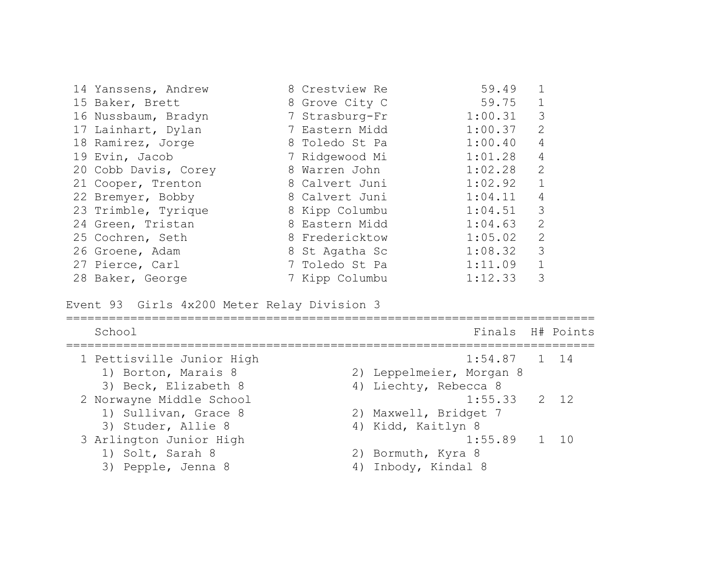| 14 Yanssens, Andrew  | 8 Crestview Re | 59.49   |                         |
|----------------------|----------------|---------|-------------------------|
| 15 Baker, Brett      | 8 Grove City C | 59.75   | $\mathbf 1$             |
| 16 Nussbaum, Bradyn  | 7 Strasburg-Fr | 1:00.31 | 3                       |
| 17 Lainhart, Dylan   | 7 Eastern Midd | 1:00.37 | 2                       |
| 18 Ramirez, Jorge    | 8 Toledo St Pa | 1:00.40 | 4                       |
| 19 Evin, Jacob       | 7 Ridgewood Mi | 1:01.28 | 4                       |
| 20 Cobb Davis, Corey | 8 Warren John  | 1:02.28 | 2                       |
| 21 Cooper, Trenton   | 8 Calvert Juni | 1:02.92 | $\mathbf{1}$            |
| 22 Bremyer, Bobby    | 8 Calvert Juni | 1:04.11 | 4                       |
| 23 Trimble, Tyrique  | 8 Kipp Columbu | 1:04.51 | $\overline{\mathbf{3}}$ |
| 24 Green, Tristan    | 8 Eastern Midd | 1:04.63 | 2                       |
| 25 Cochren, Seth     | 8 Fredericktow | 1:05.02 | 2                       |
| 26 Groene, Adam      | 8 St Agatha Sc | 1:08.32 | 3                       |
| 27 Pierce, Carl      | 7 Toledo St Pa | 1:11.09 | $\mathbf{1}$            |
| 28 Baker, George     | 7 Kipp Columbu | 1:12.33 | 3                       |

Event 93 Girls 4x200 Meter Relay Division 3

| School                    | Finals H# Points         |  |
|---------------------------|--------------------------|--|
| 1 Pettisville Junior High | $1:54.87$ 1 14           |  |
| 1) Borton, Marais 8       | 2) Leppelmeier, Morgan 8 |  |
| 3) Beck, Elizabeth 8      | 4) Liechty, Rebecca 8    |  |
| 2 Norwayne Middle School  | $1:55.33$ 2 12           |  |
| 1) Sullivan, Grace 8      | 2) Maxwell, Bridget 7    |  |
| 3) Studer, Allie 8        | 4) Kidd, Kaitlyn 8       |  |
| 3 Arlington Junior High   | $1:55.89$ 1 10           |  |
| 1) Solt, Sarah 8          | 2) Bormuth, Kyra 8       |  |
| 3) Pepple, Jenna 8        | 4) Inbody, Kindal 8      |  |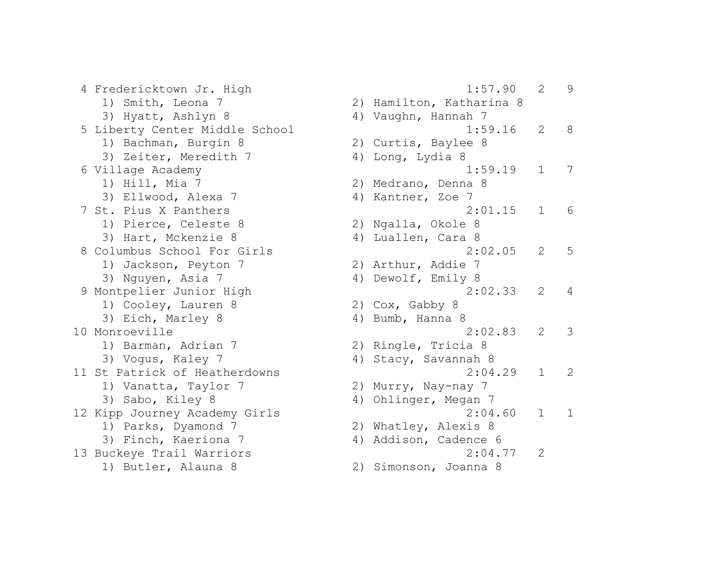4 Fredericktown Jr. High 1) Smith, Leona 7 3) Hyatt, Ashlyn 8 5 Liberty Center Middle School 1) Bachman, Burgin 8 3) Zeiter, Meredith 7 6 Village Academy 1) Hill, Mia  $7$ 3) Ellwood, Alexa 7 7 St. Pius X Panthers 1) Pierce, Celeste 8 3) Hart, Mckenzie 8 8 Columbus School For Girls 1) Jackson, Peyton 7 3) Nguyen, Asia 7 9 Montpelier Junior High 1) Cooley, Lauren 8 3) Eich, Marley 8 10 Monroeville 1) Barman, Adrian 7 3) Voqus, Kaley 7 11 St Patrick of Heatherdowns 1) Vanatta, Taylor 7 3) Sabo, Kiley 8 12 Kipp Journey Academy Girls 1) Parks, Dyamond 7 3) Finch, Kaeriona 7 13 Buckeye Trail Warriors 1) Butler, Alauna 8

|    | 1:57.90                               | 2              | 9 |
|----|---------------------------------------|----------------|---|
|    | 2) Hamilton, Katharina 8              |                |   |
|    | 4) Vaughn, Hannah 7                   |                |   |
|    | 1:59.16                               | 2              | 8 |
| 2) | Curtis, Baylee 8                      |                |   |
| 4) | Long, Lydia 8                         |                |   |
|    | 1:59.19                               | $\mathbf 1$    | 7 |
| 2) | Medrano, Denna 8                      |                |   |
|    | 4) Kantner, Zoe 7                     |                |   |
|    | 2:01.15                               | $\mathbf 1$    | 6 |
|    | 2) Ngalla, Okole 8                    |                |   |
|    | 4) Luallen, Cara 8                    |                |   |
|    | 2:02.05                               | $\overline{2}$ | 5 |
|    | 2) Arthur, Addie 7                    |                |   |
|    | 4) Dewolf, Emily 8                    |                |   |
|    | 2:02.33                               | $\overline{2}$ | 4 |
| 2) | Cox, Gabby 8                          |                |   |
| 4) | Bumb, Hanna 8<br>2:02.83              | $\overline{2}$ | 3 |
| 2) |                                       |                |   |
| 4) | Ringle, Tricia 8<br>Stacy, Savannah 8 |                |   |
|    | 2:04.29                               | $\mathbf 1$    | 2 |
| 2) | Murry, Nay-nay 7                      |                |   |
| 4) | Ohlinger, Megan 7                     |                |   |
|    | 2:04.60                               | 1              | 1 |
|    | 2) Whatley, Alexis 8                  |                |   |
|    | 4) Addison, Cadence 6                 |                |   |
|    | 2:04.77                               | 2              |   |
| 2) | Simonson, Joanna 8                    |                |   |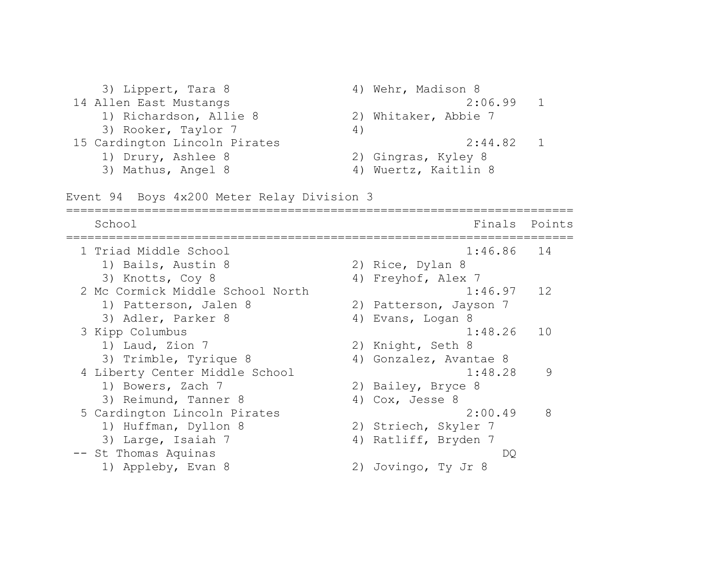3) Lippert, Tara 8 4) Wehr, Madison 8 14 Allen East Mustangs 2:06.99 1 1) Richardson, Allie 8 2) Whitaker, Abbie 7 3) Rooker, Taylor 7 (4) 15 Cardington Lincoln Pirates 2:44.82 1 1) Drury, Ashlee 8 2) Gingras, Kyley 8 3) Mathus, Angel 8 4) Wuertz, Kaitlin 8

Event 94 Boys 4x200 Meter Relay Division 3

======================================================================= School **Finals** Points ======================================================================= 1 Triad Middle School 1:46.86 14 1) Bails, Austin 8 2) Rice, Dylan 8 3) Knotts, Coy 8 4) Freyhof, Alex 7 2 Mc Cormick Middle School North 1:46.97 12 1) Patterson, Jalen 8 2) Patterson, Jayson 7 3) Adler, Parker 8 (4) Evans, Logan 8 3 Kipp Columbus 1:48.26 10 1) Laud, Zion 7 2) Knight, Seth 8 3) Trimble, Tyrique 8 (4) Gonzalez, Avantae 8 4 Liberty Center Middle School 1:48.28 9 1) Bowers, Zach 7 2) Bailey, Bryce 8 3) Reimund, Tanner 8 (4) Cox, Jesse 8 5 Cardington Lincoln Pirates 2:00.49 8 1) Huffman, Dyllon 8 2) Striech, Skyler 7 3) Large, Isaiah 7 (4) Ratliff, Bryden 7 -- St Thomas Aquinas DQ 1) Appleby, Evan 8 2) Jovingo, Ty Jr 8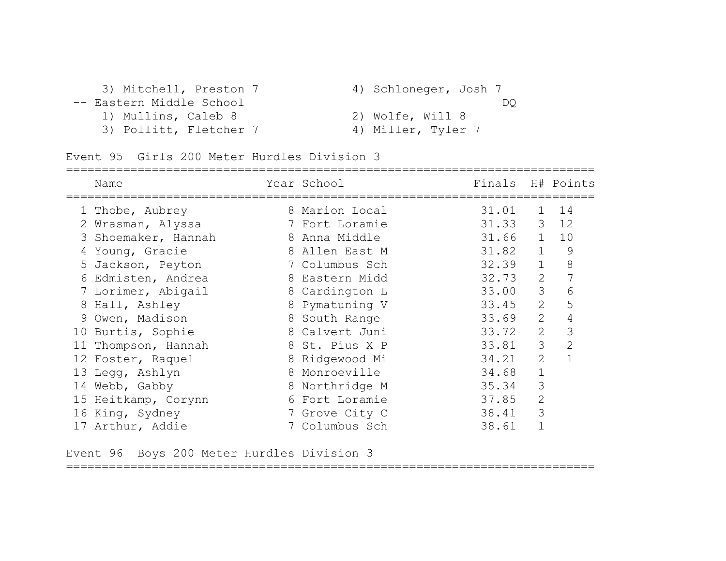| 3) Mitchell, Preston 7   | 4) Schloneger, Josh 7 |
|--------------------------|-----------------------|
| -- Eastern Middle School | DO                    |
| 1) Mullins, Caleb 8      | 2) Wolfe, Will 8      |
| 3) Pollitt, Fletcher 7   | 4) Miller, Tyler 7    |

|    | Name                | Year School    | Finals |                | H# Points      |
|----|---------------------|----------------|--------|----------------|----------------|
|    | 1 Thobe, Aubrey     | 8 Marion Local | 31.01  | $\mathbf{1}$   | 14             |
|    | 2 Wrasman, Alyssa   | 7 Fort Loramie | 31.33  | 3 <sup>7</sup> | 12             |
|    | 3 Shoemaker, Hannah | 8 Anna Middle  | 31.66  | $\mathbf{1}$   | 10             |
|    | 4 Young, Gracie     | 8 Allen East M | 31.82  | $\mathbf{1}$   | 9              |
|    | 5 Jackson, Peyton   | 7 Columbus Sch | 32.39  | $\mathbf{1}$   | 8              |
|    | 6 Edmisten, Andrea  | 8 Eastern Midd | 32.73  | 2              | 7              |
|    | 7 Lorimer, Abigail  | 8 Cardington L | 33.00  | 3              | 6              |
|    | 8 Hall, Ashley      | 8 Pymatuning V | 33.45  | 2              | 5              |
|    | 9 Owen, Madison     | 8 South Range  | 33.69  | 2              | 4              |
|    | 10 Burtis, Sophie   | 8 Calvert Juni | 33.72  | 2              | 3              |
| 11 | Thompson, Hannah    | 8 St. Pius X P | 33.81  | 3              | $\overline{2}$ |
|    | 12 Foster, Raquel   | 8 Ridgewood Mi | 34.21  | 2              |                |
|    | 13 Legg, Ashlyn     | 8 Monroeville  | 34.68  | 1              |                |
|    | 14 Webb, Gabby      | 8 Northridge M | 35.34  | 3              |                |
|    | 15 Heitkamp, Corynn | 6 Fort Loramie | 37.85  | $\overline{2}$ |                |
|    | 16 King, Sydney     | 7 Grove City C | 38.41  | 3              |                |
|    | 17 Arthur, Addie    | 7 Columbus Sch | 38.61  |                |                |

Event 96 Boys 200 Meter Hurdles Division 3

==========================================================================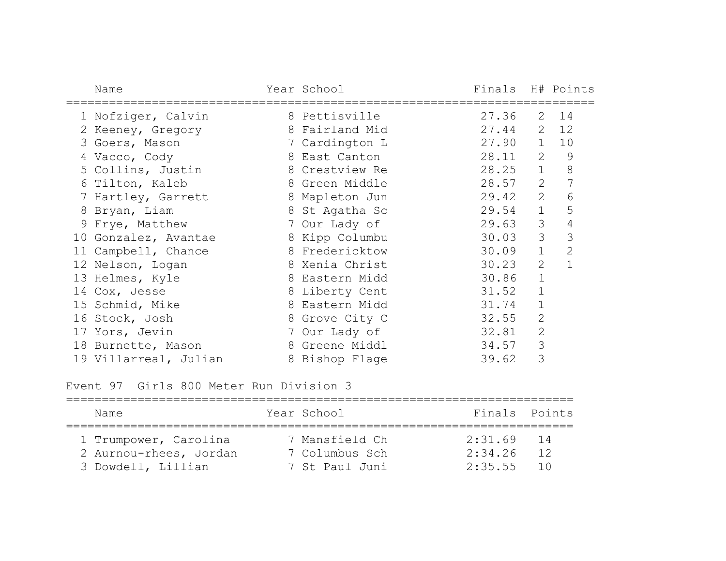| Name                  | Year School    | Finals H# Points |                |                |
|-----------------------|----------------|------------------|----------------|----------------|
| 1 Nofziger, Calvin    | 8 Pettisville  | 27.36            |                | $2 \t14$       |
| 2 Keeney, Gregory     | 8 Fairland Mid | 27.44            |                | $2 \t12$       |
| 3 Goers, Mason        | 7 Cardington L | 27.90            | $\mathbf{1}$   | 10             |
| 4 Vacco, Cody         | 8 East Canton  | 28.11            | 2              | $\mathcal{G}$  |
| 5 Collins, Justin     | 8 Crestview Re | 28.25            | $\mathbf{1}$   | $8\,$          |
| 6 Tilton, Kaleb       | 8 Green Middle | 28.57            | $\overline{2}$ | 7              |
| 7 Hartley, Garrett    | 8 Mapleton Jun | 29.42            | 2              | 6              |
| 8 Bryan, Liam         | 8 St Agatha Sc | 29.54            | $\mathbf 1$    | 5              |
| 9 Frye, Matthew       | 7 Our Lady of  | 29.63            | 3              | 4              |
| 10 Gonzalez, Avantae  | 8 Kipp Columbu | 30.03            | 3              | 3              |
| 11 Campbell, Chance   | 8 Fredericktow | 30.09            | $\mathbf{1}$   | $\overline{2}$ |
| 12 Nelson, Logan      | 8 Xenia Christ | 30.23            | $\overline{2}$ | 1              |
| 13 Helmes, Kyle       | 8 Eastern Midd | 30.86            | $\mathbf 1$    |                |
| 14 Cox, Jesse         | 8 Liberty Cent | 31.52            | $\mathbf 1$    |                |
| 15 Schmid, Mike       | 8 Eastern Midd | 31.74            | $\mathbf 1$    |                |
| 16 Stock, Josh        | 8 Grove City C | 32.55            | $\mathbf{2}$   |                |
| 17 Yors, Jevin        | 7 Our Lady of  | 32.81            | $\overline{2}$ |                |
| 18 Burnette, Mason    | 8 Greene Middl | 34.57            | 3              |                |
| 19 Villarreal, Julian | 8 Bishop Flage | 39.62            | 3              |                |

Event 97 Girls 800 Meter Run Division 3

| Name                   | Year School    | Finals Points |    |
|------------------------|----------------|---------------|----|
| 1 Trumpower, Carolina  | 7 Mansfield Ch | $2:31.69$ 14  |    |
| 2 Aurnou-rhees, Jordan | 7 Columbus Sch | 2:34.26       | 12 |
| 3 Dowdell, Lillian     | 7 St Paul Juni | $2:35.55$ 10  |    |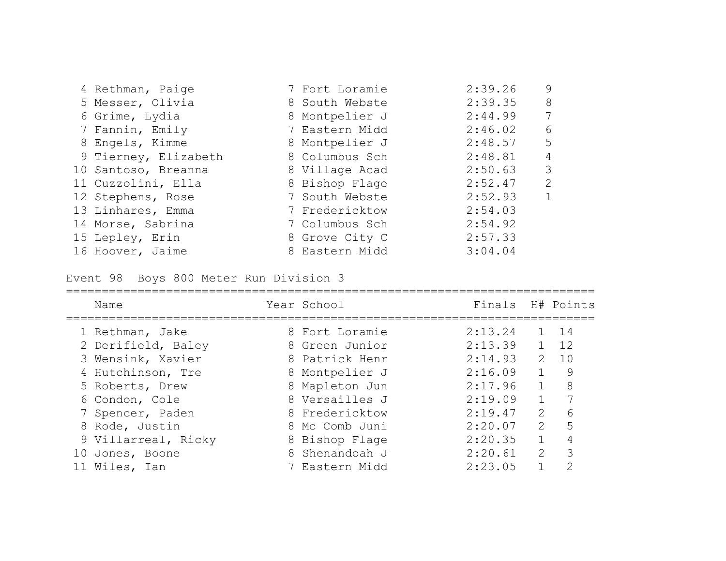| 4 Rethman, Paige     | 7 Fort Loramie | 2:39.26 | 9            |
|----------------------|----------------|---------|--------------|
| 5 Messer, Olivia     | 8 South Webste | 2:39.35 | 8            |
| 6 Grime, Lydia       | 8 Montpelier J | 2:44.99 | 7            |
| 7 Fannin, Emily      | 7 Eastern Midd | 2:46.02 | 6            |
| 8 Engels, Kimme      | 8 Montpelier J | 2:48.57 | 5            |
| 9 Tierney, Elizabeth | 8 Columbus Sch | 2:48.81 | 4            |
| 10 Santoso, Breanna  | 8 Village Acad | 2:50.63 | 3            |
| 11 Cuzzolini, Ella   | 8 Bishop Flage | 2:52.47 | 2            |
| 12 Stephens, Rose    | 7 South Webste | 2:52.93 | $\mathbf{1}$ |
| 13 Linhares, Emma    | 7 Fredericktow | 2:54.03 |              |
| 14 Morse, Sabrina    | 7 Columbus Sch | 2:54.92 |              |
| 15 Lepley, Erin      | 8 Grove City C | 2:57.33 |              |
| 16 Hoover, Jaime     | 8 Eastern Midd | 3:04.04 |              |

Event 98 Boys 800 Meter Run Division 3

|    | Name                | Year School    | Finals H# Points |                  |    |
|----|---------------------|----------------|------------------|------------------|----|
|    | 1 Rethman, Jake     | 8 Fort Loramie | 2:13.24          |                  | 14 |
|    | 2 Derifield, Baley  | 8 Green Junior | 2:13.39          |                  | 12 |
|    | 3 Wensink, Xavier   | 8 Patrick Henr | 2:14.93          | $\mathcal{P}$    | 10 |
|    | 4 Hutchinson, Tre   | 8 Montpelier J | 2:16.09          |                  | 9  |
|    | 5 Roberts, Drew     | 8 Mapleton Jun | 2:17.96          | $\mathbf{1}$     | 8  |
|    | 6 Condon, Cole      | 8 Versailles J | 2:19.09          |                  |    |
|    | 7 Spencer, Paden    | 8 Fredericktow | 2:19.47          | $\sum_{i=1}^{n}$ | 6  |
| 8  | Rode, Justin        | 8 Mc Comb Juni | 2:20.07          | $\mathcal{P}$    | 5  |
|    | 9 Villarreal, Ricky | 8 Bishop Flage | 2:20.35          |                  |    |
| 10 | Jones, Boone        | 8 Shenandoah J | 2:20.61          | 2                | 3  |
|    | 11 Wiles, Ian       | 7 Eastern Midd | 2:23.05          |                  | っ  |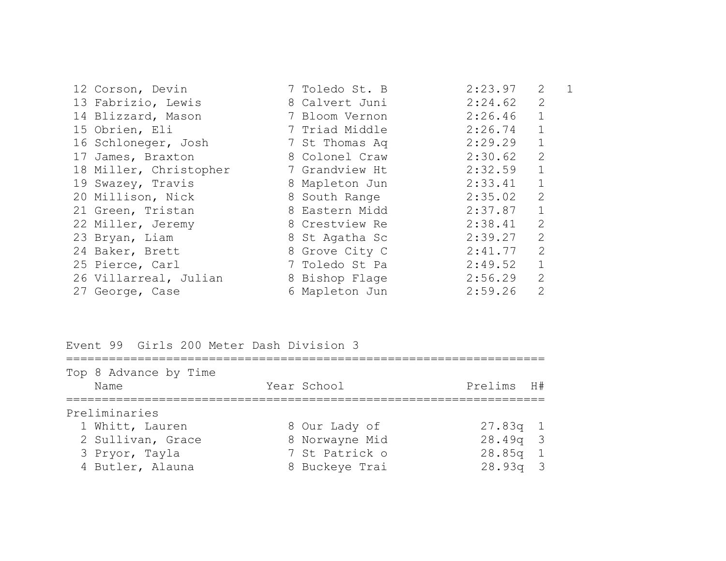| 12 Corson, Devin       | 7 Toledo St. B | 2:23.97 | 2              |  |
|------------------------|----------------|---------|----------------|--|
| 13 Fabrizio, Lewis     | 8 Calvert Juni | 2:24.62 | 2              |  |
| 14 Blizzard, Mason     | 7 Bloom Vernon | 2:26.46 | $\mathbf{1}$   |  |
| 15 Obrien, Eli         | 7 Triad Middle | 2:26.74 | $\mathbf{1}$   |  |
| 16 Schloneger, Josh    | 7 St Thomas Aq | 2:29.29 | $\mathbf{1}$   |  |
| 17 James, Braxton      | 8 Colonel Craw | 2:30.62 | $\overline{2}$ |  |
| 18 Miller, Christopher | 7 Grandview Ht | 2:32.59 | $\mathbf{1}$   |  |
| 19 Swazey, Travis      | 8 Mapleton Jun | 2:33.41 | $\mathbf{1}$   |  |
| 20 Millison, Nick      | 8 South Range  | 2:35.02 | 2              |  |
| 21 Green, Tristan      | 8 Eastern Midd | 2:37.87 | $\mathbf{1}$   |  |
| 22 Miller, Jeremy      | 8 Crestview Re | 2:38.41 | 2              |  |
| 23 Bryan, Liam         | 8 St Agatha Sc | 2:39.27 | $\overline{2}$ |  |
| 24 Baker, Brett        | 8 Grove City C | 2:41.77 | 2              |  |
| 25 Pierce, Carl        | 7 Toledo St Pa | 2:49.52 | $\mathbf{1}$   |  |
| 26 Villarreal, Julian  | 8 Bishop Flage | 2:56.29 | $\overline{2}$ |  |
| 27 George, Case        | 6 Mapleton Jun | 2:59.26 | $\overline{2}$ |  |
|                        |                |         |                |  |

Event 99 Girls 200 Meter Dash Division 3

| Top 8 Advance by Time<br>Name | Year School    | Prelims H# |  |
|-------------------------------|----------------|------------|--|
| Preliminaries                 |                |            |  |
| 1 Whitt, Lauren               | 8 Our Lady of  | $27.83q$ 1 |  |
| 2 Sullivan, Grace             | 8 Norwayne Mid | $28.49q$ 3 |  |
| 3 Pryor, Tayla                | 7 St Patrick o | $28.85q$ 1 |  |
| 4 Butler, Alauna              | 8 Buckeye Trai | $28.93q$ 3 |  |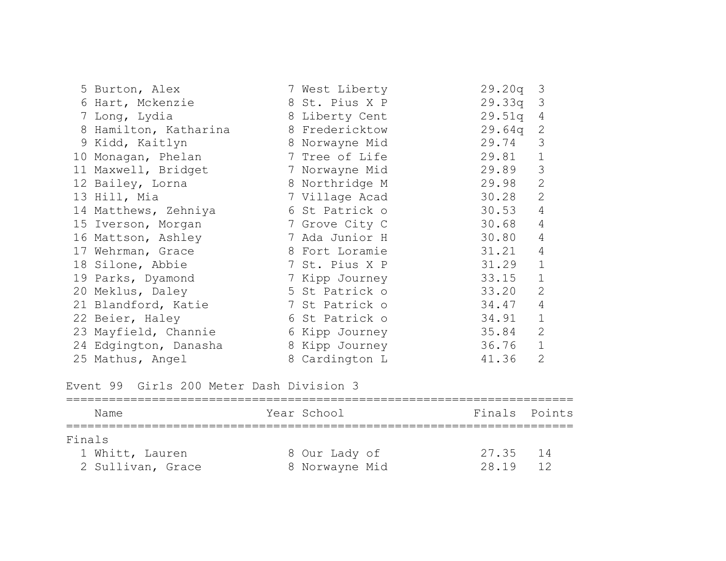| 5 Burton, Alex        | 7 West Liberty | 29.20q | $\mathcal{E}$  |
|-----------------------|----------------|--------|----------------|
| 6 Hart, Mckenzie      | 8 St. Pius X P | 29.33q | 3              |
| 7 Long, Lydia         | 8 Liberty Cent | 29.51q | 4              |
| 8 Hamilton, Katharina | 8 Fredericktow | 29.64q | 2              |
| 9 Kidd, Kaitlyn       | 8 Norwayne Mid | 29.74  | 3              |
| 10 Monagan, Phelan    | 7 Tree of Life | 29.81  | $\mathbf 1$    |
| 11 Maxwell, Bridget   | 7 Norwayne Mid | 29.89  | 3              |
| 12 Bailey, Lorna      | 8 Northridge M | 29.98  | $\overline{2}$ |
| 13 Hill, Mia          | 7 Village Acad | 30.28  | $\mathbf{2}$   |
| 14 Matthews, Zehniya  | 6 St Patrick o | 30.53  | 4              |
| 15 Iverson, Morgan    | 7 Grove City C | 30.68  | $\overline{4}$ |
| 16 Mattson, Ashley    | 7 Ada Junior H | 30.80  | 4              |
| 17 Wehrman, Grace     | 8 Fort Loramie | 31.21  | $\overline{4}$ |
| 18 Silone, Abbie      | 7 St. Pius X P | 31.29  | $\mathbf{1}$   |
| 19 Parks, Dyamond     | 7 Kipp Journey | 33.15  | $\mathbf 1$    |
| 20 Meklus, Daley      | 5 St Patrick o | 33.20  | $\overline{2}$ |
| 21 Blandford, Katie   | 7 St Patrick o | 34.47  | $\overline{4}$ |
| 22 Beier, Haley       | 6 St Patrick o | 34.91  | $\mathbf 1$    |
| 23 Mayfield, Channie  | 6 Kipp Journey | 35.84  | $\mathbf{2}$   |
| 24 Edgington, Danasha | 8 Kipp Journey | 36.76  | $\mathbf{1}$   |
| 25 Mathus, Angel      | 8 Cardington L | 41.36  | $\overline{2}$ |

Event 99 Girls 200 Meter Dash Division 3

| Name              | Year School    | Finals Points |
|-------------------|----------------|---------------|
| Finals            |                |               |
| 1 Whitt, Lauren   | 8 Our Lady of  | 27.35<br>14   |
| 2 Sullivan, Grace | 8 Norwayne Mid | 28.19<br>12   |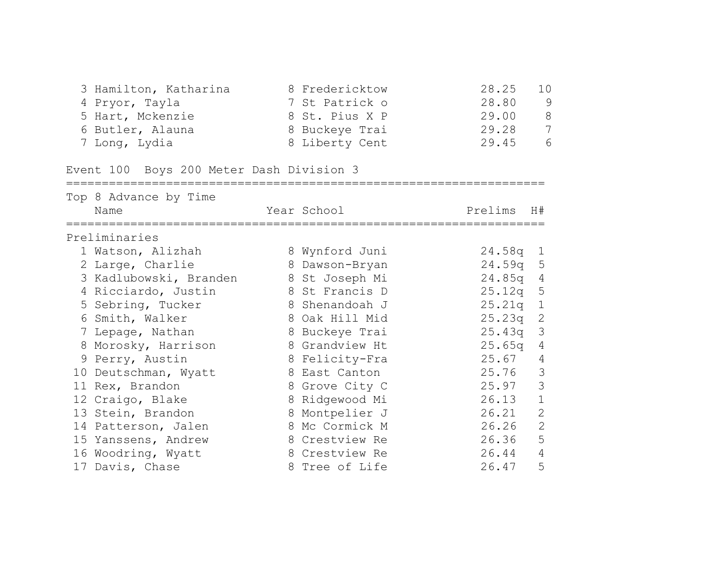| 4 Pryor, Tayla<br>5 Hart, Mckenzie<br>6 Butler, Alauna<br>7 Long, Lydia | 3 Hamilton, Katharina and 8 Fredericktow<br>7 St Patrick o<br>8 St. Pius X P 29.00<br>8 Buckeye Trai<br>8 Liberty Cent | 28.25<br>10<br>28.80<br>9<br>$\,8\,$<br>$\overline{7}$<br>29.28<br>6<br>29.45 |
|-------------------------------------------------------------------------|------------------------------------------------------------------------------------------------------------------------|-------------------------------------------------------------------------------|
| Event 100 Boys 200 Meter Dash Division 3                                |                                                                                                                        |                                                                               |
| Top 8 Advance by Time<br>Name                                           | Year School                                                                                                            | Prelims H#                                                                    |
| Preliminaries                                                           |                                                                                                                        |                                                                               |
| 1 Watson, Alizhah                                                       | 8 Wynford Juni                                                                                                         | $24.58q$ 1                                                                    |
| 2 Large, Charlie                                                        | 8 Dawson-Bryan                                                                                                         | 24.59q 5                                                                      |
|                                                                         | 3 Kadlubowski, Branden 8 St Joseph Mi                                                                                  | 24.85q 4                                                                      |
| 4 Ricciardo, Justin                                                     | 8 St Francis D                                                                                                         | 25.12q 5                                                                      |
|                                                                         | 5 Sebring, Tucker 3 Shenandoah J                                                                                       | 25.21q 1                                                                      |
| 6 Smith, Walker                                                         | 8 Oak Hill Mid                                                                                                         | 25.23q 2                                                                      |
| 7 Lepage, Nathan                                                        | 8 Buckeye Trai                                                                                                         | 25.43q 3                                                                      |
| 8 Morosky, Harrison 8 Grandview Ht                                      |                                                                                                                        | 25.65q<br>4                                                                   |
| 9 Perry, Austin                                                         | 8 Felicity-Fra                                                                                                         | 25.67<br>4                                                                    |
| 10 Deutschman, Wyatt 68 East Canton                                     |                                                                                                                        | 3<br>25.76                                                                    |
| 11 Rex, Brandon                                                         | 8 Grove City C                                                                                                         | 3<br>25.97                                                                    |
| 12 Craigo, Blake                                                        | 8 Ridgewood Mi                                                                                                         | $\mathbf{1}$<br>26.13                                                         |
| 13 Stein, Brandon                                                       | 8 Montpelier J                                                                                                         | $\mathbf{2}$<br>26.21                                                         |
| 14 Patterson, Jalen                                                     | 8 Mc Cormick M                                                                                                         | $\overline{2}$<br>26.26                                                       |
| 15 Yanssens, Andrew                                                     | 8 Crestview Re                                                                                                         | 5<br>26.36                                                                    |
| 16 Woodring, Wyatt                                                      | 8 Crestview Re                                                                                                         | $\overline{4}$<br>26.44                                                       |
| 17 Davis, Chase                                                         | 8 Tree of Life                                                                                                         | 5<br>26.47                                                                    |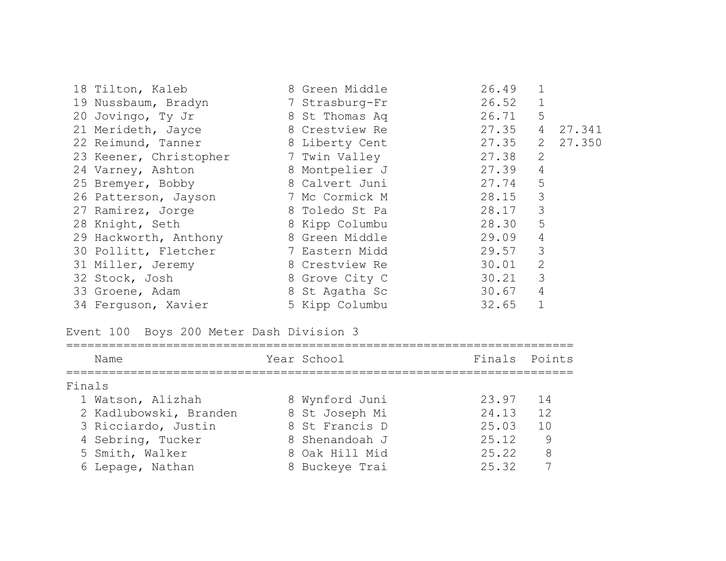| 18 Tilton, Kaleb       | 8 Green Middle | 26.49 |                |        |
|------------------------|----------------|-------|----------------|--------|
| 19 Nussbaum, Bradyn    | 7 Strasburg-Fr | 26.52 | $\mathbf 1$    |        |
| 20 Jovingo, Ty Jr      | 8 St Thomas Aq | 26.71 | 5              |        |
| 21 Merideth, Jayce     | 8 Crestview Re | 27.35 | 4              | 27.341 |
| 22 Reimund, Tanner     | 8 Liberty Cent | 27.35 | 2              | 27.350 |
| 23 Keener, Christopher | 7 Twin Valley  | 27.38 | $\mathbf{2}$   |        |
| 24 Varney, Ashton      | 8 Montpelier J | 27.39 | $\overline{4}$ |        |
| 25 Bremyer, Bobby      | 8 Calvert Juni | 27.74 | 5              |        |
| 26 Patterson, Jayson   | 7 Mc Cormick M | 28.15 | 3              |        |
| 27 Ramirez, Jorge      | 8 Toledo St Pa | 28.17 | 3              |        |
| 28 Knight, Seth        | 8 Kipp Columbu | 28.30 | 5              |        |
| 29 Hackworth, Anthony  | 8 Green Middle | 29.09 | $\sqrt{4}$     |        |
| 30 Pollitt, Fletcher   | 7 Eastern Midd | 29.57 | 3              |        |
| 31 Miller, Jeremy      | 8 Crestview Re | 30.01 | $\mathbf{2}$   |        |
| 32 Stock, Josh         | 8 Grove City C | 30.21 | 3              |        |
| 33 Groene, Adam        | 8 St Agatha Sc | 30.67 | $\overline{4}$ |        |
| 34 Ferguson, Xavier    | 5 Kipp Columbu | 32.65 |                |        |

# Event 100 Boys 200 Meter Dash Division 3

| Name                   | Year School    | Finals Points |     |
|------------------------|----------------|---------------|-----|
| Finals                 |                |               |     |
| 1 Watson, Alizhah      | 8 Wynford Juni | 23.97         | -14 |
| 2 Kadlubowski, Branden | 8 St Joseph Mi | 24.13         | 12  |
| 3 Ricciardo, Justin    | 8 St Francis D | 25.03         | 10  |
| 4 Sebring, Tucker      | 8 Shenandoah J | 25.12         | 9   |
| 5 Smith, Walker        | 8 Oak Hill Mid | 25.22         | 8   |
| 6 Lepage, Nathan       | 8 Buckeye Trai | 25.32         |     |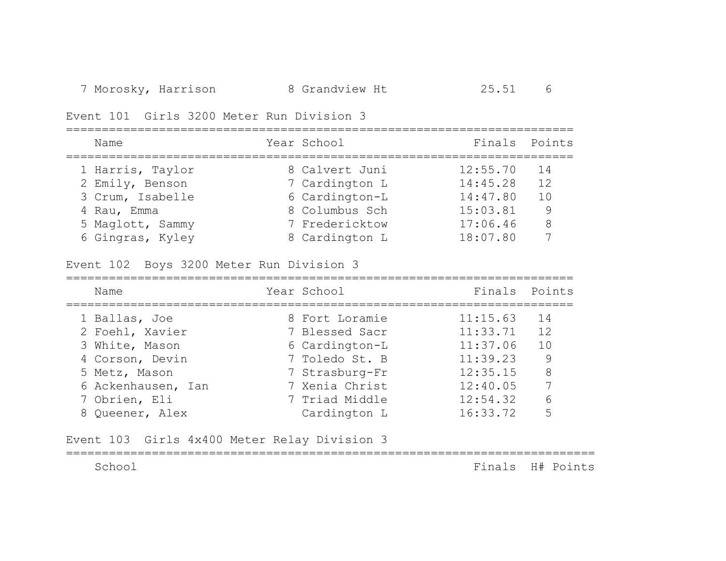Event 101 Girls 3200 Meter Run Division 3

| Name             | Year School    | Finals Points |    |
|------------------|----------------|---------------|----|
| 1 Harris, Taylor | 8 Calvert Juni | 12:55.70      | 14 |
| 2 Emily, Benson  | 7 Cardington L | 14:45.28      | 12 |
| 3 Crum, Isabelle | 6 Cardington-L | 14:47.80      | 10 |
| 4 Rau, Emma      | 8 Columbus Sch | 15:03.81      | 9  |
| 5 Maglott, Sammy | 7 Fredericktow | 17:06.46      | 8  |
| 6 Gingras, Kyley | 8 Cardington L | 18:07.80      |    |

Event 102 Boys 3200 Meter Run Division 3

| Name               | Year School    | Finals Points |     |
|--------------------|----------------|---------------|-----|
| 1 Ballas, Joe      | 8 Fort Loramie | 11:15.63      | 14  |
| 2 Foehl, Xavier    | 7 Blessed Sacr | 11:33.71      | 12  |
| 3 White, Mason     | 6 Cardington-L | 11:37.06      | 1 N |
| 4 Corson, Devin    | 7 Toledo St. B | 11:39.23      | -9  |
| 5 Metz, Mason      | 7 Strasburg-Fr | 12:35.15      | 8   |
| 6 Ackenhausen, Ian | 7 Xenia Christ | 12:40.05      | 7   |
| 7 Obrien, Eli      | 7 Triad Middle | 12:54.32      | 6   |
| 8 Queener, Alex    | Cardington L   | 16:33.72      |     |

Event 103 Girls 4x400 Meter Relay Division 3

==========================================================================

School Finals H# Points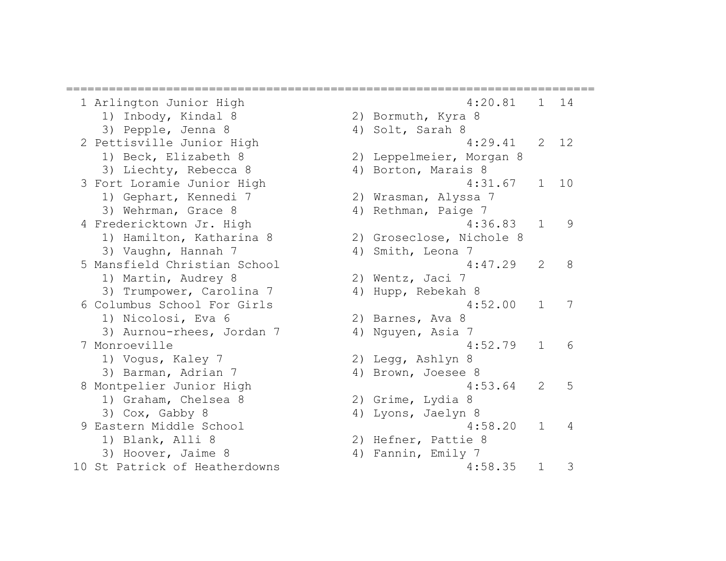========================================================================== 1) Inbody, Kindal 8 2) Bormuth, Kyra 8 3) Pepple, Jenna 8 4) Solt, Sarah 8 1) Beck, Elizabeth 8 2) Leppelmeier, Morgan 8 3) Liechty, Rebecca 8 4) Borton, Marais 8 1) Gephart, Kennedi 7 2) Wrasman, Alyssa 7 3) Wehrman, Grace 8 4) Rethman, Paige 7 1) Hamilton, Katharina 8 2) Groseclose, Nichole 8 3) Vaughn, Hannah 7 (4) Smith, Leona 7 1) Martin, Audrey 8 2) Wentz, Jaci 7 3) Trumpower, Carolina 7 4) Hupp, Rebekah 8 1) Nicolosi, Eva 6 2) Barnes, Ava 8 3) Aurnou-rhees, Jordan 7 (4) Nguyen, Asia 7 1) Vogus, Kaley 7 2) Legg, Ashlyn 8 3) Barman, Adrian 7 (4) Brown, Joesee 8 1) Graham, Chelsea 8 2) Grime, Lydia 8 3) Cox, Gabby 8 4) Lyons, Jaelyn 8 1) Blank, Alli 8 2) Hefner, Pattie 8 3) Hoover, Jaime 8 4) Fannin, Emily 7 10 St Patrick of Heatherdowns 10 St 7, 1 3

```
 1 Arlington Junior High 4:20.81 1 14 
 2 Pettisville Junior High 4:29.41 2 12 
3 Fort Loramie Junior High 10 1:31.67 1 10
4 Fredericktown Jr. High 4:36.83 1 9
 5 Mansfield Christian School 4:47.29 2 8 
 6 Columbus School For Girls 4:52.00 1 7 
 7 Monroeville 4:52.79 1 6 
8 Montpelier Junior High 1986 1997 12:53.64 2 5
9 Eastern Middle School 4:58.20 1 4
```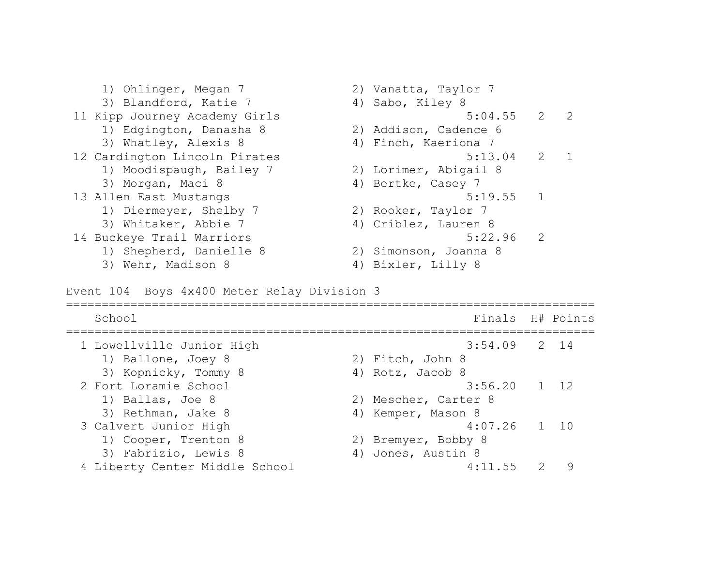1) Ohlinger, Megan 7 2) Vanatta, Taylor 7 3) Blandford, Katie 7 4) Sabo, Kiley 8 11 Kipp Journey Academy Girls 5:04.55 2 2 1) Edgington, Danasha 8 2) Addison, Cadence 6 3) Whatley, Alexis 8 4) Finch, Kaeriona 7 12 Cardington Lincoln Pirates 5:13.04 2 1 1) Moodispaugh, Bailey 7 2) Lorimer, Abigail 8 3) Morgan, Maci 8 4) Bertke, Casey 7 13 Allen East Mustangs 13 Allen East Mustangs 1) Diermeyer, Shelby 7 2) Rooker, Taylor 7 3) Whitaker, Abbie 7 (4) Criblez, Lauren 8 14 Buckeye Trail Warriors 6:22.96 2 1) Shepherd, Danielle 8 2) Simonson, Joanna 8 3) Wehr, Madison 8 4) Bixler, Lilly 8

Event 104 Boys 4x400 Meter Relay Division 3

| School                         | Finals H# Points     |   |
|--------------------------------|----------------------|---|
| 1 Lowellville Junior High      | $3:54.09$ 2 14       |   |
| 1) Ballone, Joey 8             | 2) Fitch, John 8     |   |
| 3) Kopnicky, Tommy 8           | 4) Rotz, Jacob 8     |   |
| 2 Fort Loramie School          | $3:56.20$ 1 12       |   |
| 1) Ballas, Joe 8               | 2) Mescher, Carter 8 |   |
| 3) Rethman, Jake 8             | 4) Kemper, Mason 8   |   |
| 3 Calvert Junior High          | $4:07.26$ 1 10       |   |
| 1) Cooper, Trenton 8           | 2) Bremyer, Bobby 8  |   |
| 3) Fabrizio, Lewis 8           | 4) Jones, Austin 8   |   |
| 4 Liberty Center Middle School | 4:11.55              | 9 |
|                                |                      |   |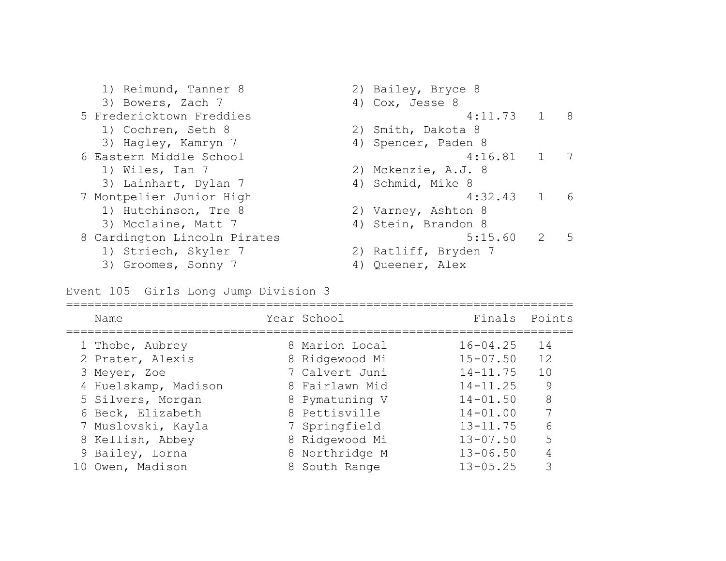1) Reimund, Tanner 8 2) Bailey, Bryce 8 3) Bowers, Zach 7 4) Cox, Jesse 8 5 Fredericktown Freddies 4:11.73 1 8 1) Cochren, Seth 8 2) Smith, Dakota 8 3) Hagley, Kamryn 7 (4) Spencer, Paden 8 6 Eastern Middle School 4:16.81 1 7 1) Wiles, Ian 7 2) Mckenzie, A.J. 8 3) Lainhart, Dylan 7 (4) Schmid, Mike 8 7 Montpelier Junior High 1 6 1) Hutchinson, Tre 8 2) Varney, Ashton 8 3) Mcclaine, Matt 7 (4) Stein, Brandon 8 8 Cardington Lincoln Pirates 5:15.60 2 5 1) Striech, Skyler 7 2) Ratliff, Bryden 7 3) Groomes, Sonny 7 (4) Queener, Alex

Event 105 Girls Long Jump Division 3

| Name                 | Year School    | Finals Points |    |
|----------------------|----------------|---------------|----|
| 1 Thobe, Aubrey      | 8 Marion Local | $16 - 04.25$  | 14 |
| 2 Prater, Alexis     | 8 Ridgewood Mi | $15 - 07.50$  | 12 |
| 3 Meyer, Zoe         | 7 Calvert Juni | $14 - 11.75$  | 10 |
| 4 Huelskamp, Madison | 8 Fairlawn Mid | $14 - 11.25$  | 9  |
| 5 Silvers, Morgan    | 8 Pymatuning V | $14 - 01.50$  | 8  |
| 6 Beck, Elizabeth    | 8 Pettisville  | $14 - 01.00$  | 7  |
| 7 Muslovski, Kayla   | 7 Springfield  | $13 - 11.75$  | 6  |
| 8 Kellish, Abbey     | 8 Ridgewood Mi | $13 - 07.50$  | 5  |
| 9 Bailey, Lorna      | 8 Northridge M | $13 - 06.50$  |    |
| 10 Owen, Madison     | 8 South Range  | $13 - 05.25$  | 3  |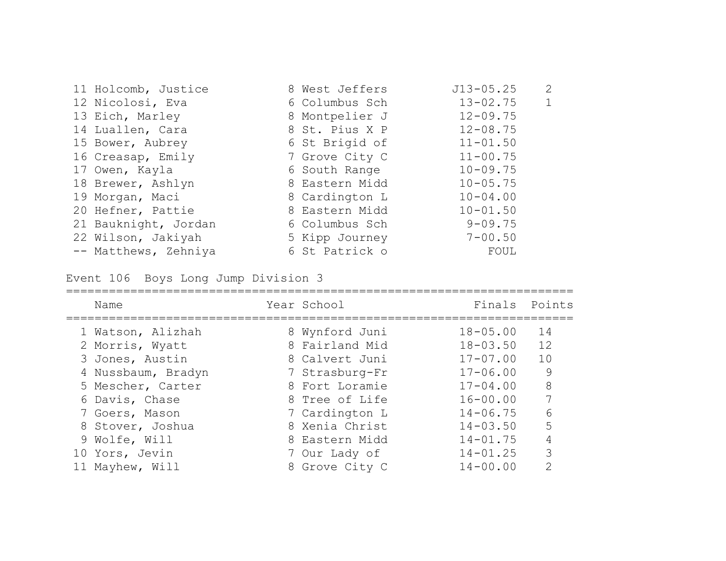| 11 Holcomb, Justice  | 8 West Jeffers | $J13 - 05.25$ | 2 |
|----------------------|----------------|---------------|---|
| 12 Nicolosi, Eva     | 6 Columbus Sch | $13 - 02.75$  |   |
| 13 Eich, Marley      | 8 Montpelier J | $12 - 09.75$  |   |
| 14 Luallen, Cara     | 8 St. Pius X P | $12 - 08.75$  |   |
| 15 Bower, Aubrey     | 6 St Brigid of | $11 - 01.50$  |   |
| 16 Creasap, Emily    | 7 Grove City C | $11 - 00.75$  |   |
| 17 Owen, Kayla       | 6 South Range  | $10 - 09.75$  |   |
| 18 Brewer, Ashlyn    | 8 Eastern Midd | $10 - 05.75$  |   |
| 19 Morgan, Maci      | 8 Cardington L | $10 - 04.00$  |   |
| 20 Hefner, Pattie    | 8 Eastern Midd | $10 - 01.50$  |   |
| 21 Bauknight, Jordan | 6 Columbus Sch | $9 - 09.75$   |   |
| 22 Wilson, Jakiyah   | 5 Kipp Journey | $7 - 00.50$   |   |
| -- Matthews, Zehniya | 6 St Patrick o | FOUL          |   |

Event 106 Boys Long Jump Division 3

| Name               | Year School    | Finals Points |               |
|--------------------|----------------|---------------|---------------|
| 1 Watson, Alizhah  | 8 Wynford Juni | $18 - 05.00$  | 14            |
| 2 Morris, Wyatt    | 8 Fairland Mid | $18 - 03.50$  | 12            |
| 3 Jones, Austin    | 8 Calvert Juni | $17 - 07.00$  | 10            |
| 4 Nussbaum, Bradyn | 7 Strasburg-Fr | $17 - 06.00$  | 9             |
| 5 Mescher, Carter  | 8 Fort Loramie | $17 - 04.00$  | 8             |
| 6 Davis, Chase     | 8 Tree of Life | $16 - 00.00$  | 7             |
| 7 Goers, Mason     | 7 Cardington L | $14 - 06.75$  | 6             |
| 8 Stover, Joshua   | 8 Xenia Christ | $14 - 03.50$  | 5             |
| 9 Wolfe, Will      | 8 Eastern Midd | $14 - 01.75$  | 4             |
| 10 Yors, Jevin     | 7 Our Lady of  | $14 - 01.25$  | 3             |
| 11 Mayhew, Will    | 8 Grove City C | $14 - 00.00$  | $\mathcal{P}$ |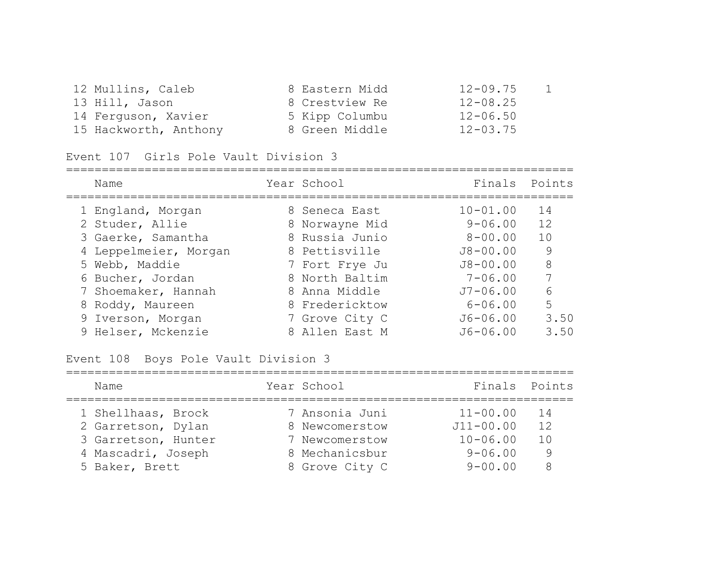| 12 Mullins, Caleb     | 8 Eastern Midd | $12 - 09.75$ | $\mathbf{1}$ |
|-----------------------|----------------|--------------|--------------|
| 13 Hill, Jason        | 8 Crestview Re | $12 - 08.25$ |              |
| 14 Ferguson, Xavier   | 5 Kipp Columbu | $12 - 06.50$ |              |
| 15 Hackworth, Anthony | 8 Green Middle | $12 - 03.75$ |              |

### Event 107 Girls Pole Vault Division 3

| Name                  | Year School    | Finals Points |      |
|-----------------------|----------------|---------------|------|
| 1 England, Morgan     | 8 Seneca East  | $10 - 01.00$  | 14   |
| 2 Studer, Allie       | 8 Norwayne Mid | $9 - 06.00$   | 12   |
| 3 Gaerke, Samantha    | 8 Russia Junio | $8 - 00.00$   | 10   |
| 4 Leppelmeier, Morgan | 8 Pettisville  | $J8 - 00.00$  | 9    |
| 5 Webb, Maddie        | 7 Fort Frye Ju | $J8 - 00.00$  | 8    |
| 6 Bucher, Jordan      | 8 North Baltim | $7 - 06.00$   | 7    |
| 7 Shoemaker, Hannah   | 8 Anna Middle  | $J7 - 06.00$  | 6    |
| 8 Roddy, Maureen      | 8 Fredericktow | $6 - 06.00$   | 5    |
| 9 Iverson, Morgan     | 7 Grove City C | $J6 - 06.00$  | 3.50 |
| 9 Helser, Mckenzie    | 8 Allen East M | $J6 - 06.00$  | 3.50 |

#### Event 108 Boys Pole Vault Division 3

| Name                | Year School    | Finals Points |      |
|---------------------|----------------|---------------|------|
| 1 Shellhaas, Brock  | 7 Ansonia Juni | $11 - 00.00$  | - 14 |
| 2 Garretson, Dylan  | 8 Newcomerstow | $J11 - 00.00$ | 12   |
| 3 Garretson, Hunter | 7 Newcomerstow | $10 - 06.00$  | 1 O  |
| 4 Mascadri, Joseph  | 8 Mechanicsbur | $9 - 06.00$   | 9    |
| 5 Baker, Brett      | 8 Grove City C | $9 - 00.00$   | 8    |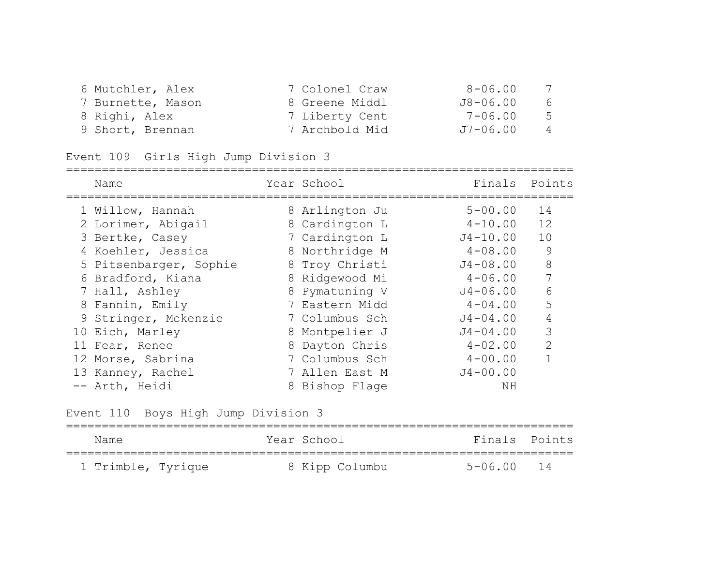| 6 Mutchler, Alex  | 7 Colonel Craw | 8-06.00      | 7              |
|-------------------|----------------|--------------|----------------|
| 7 Burnette, Mason | 8 Greene Middl | $J8 - 06.00$ | 6              |
| 8 Righi, Alex     | 7 Liberty Cent | 7-06.00      | 5              |
| 9 Short, Brennan  | 7 Archbold Mid | J7-06.00     | $\overline{4}$ |

## Event 109 Girls High Jump Division 3

| Name                   | Year School    | Finals       | Points        |
|------------------------|----------------|--------------|---------------|
| 1 Willow, Hannah       | 8 Arlington Ju | $5 - 00.00$  | 14            |
| 2 Lorimer, Abigail     | 8 Cardington L | $4 - 10.00$  | 12            |
| 3 Bertke, Casey        | 7 Cardington L | J4-10.00     | 10            |
| 4 Koehler, Jessica     | 8 Northridge M | $4 - 08.00$  | 9             |
| 5 Pitsenbarger, Sophie | 8 Troy Christi | $J4 - 08.00$ | 8             |
| 6 Bradford, Kiana      | 8 Ridgewood Mi | $4 - 06.00$  | 7             |
| 7 Hall, Ashley         | 8 Pymatuning V | $J4 - 06.00$ | 6             |
| 8 Fannin, Emily        | 7 Eastern Midd | $4 - 04.00$  | 5             |
| 9 Stringer, Mckenzie   | 7 Columbus Sch | $J4 - 04.00$ | 4             |
| 10 Eich, Marley        | 8 Montpelier J | $J4 - 04.00$ | 3             |
| 11 Fear, Renee         | 8 Dayton Chris | $4 - 02.00$  | $\mathcal{D}$ |
| 12 Morse, Sabrina      | 7 Columbus Sch | $4 - 00.00$  |               |
| 13 Kanney, Rachel      | 7 Allen East M | $J4 - 00.00$ |               |
| -- Arth, Heidi         | 8 Bishop Flage | ΝH           |               |

Event 110 Boys High Jump Division 3

| Name               | Year School    | Finals Points  |  |
|--------------------|----------------|----------------|--|
| 1 Trimble, Tyrique | 8 Kipp Columbu | $5 - 06.00$ 14 |  |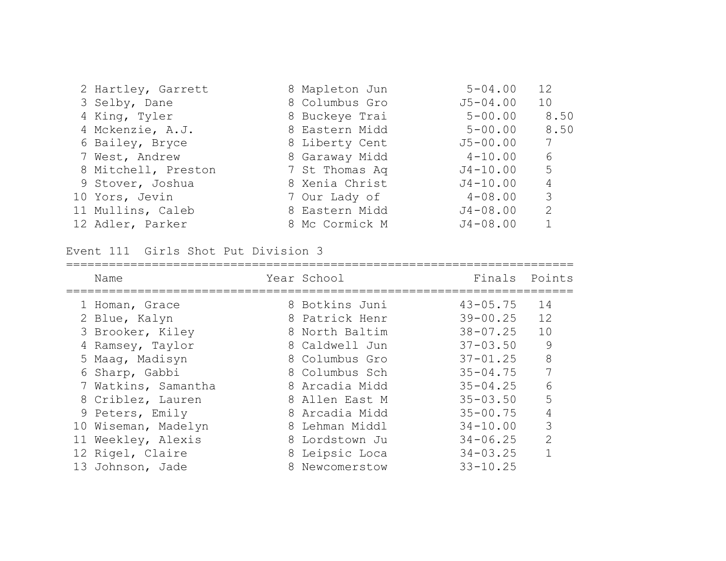| 2 Hartley, Garrett  | 8 Mapleton Jun | $5 - 04.00$  | 12   |
|---------------------|----------------|--------------|------|
| 3 Selby, Dane       | 8 Columbus Gro | $J5 - 04.00$ | 10   |
| 4 King, Tyler       | 8 Buckeye Trai | $5 - 00.00$  | 8.50 |
| 4 Mckenzie, A.J.    | 8 Eastern Midd | $5 - 00.00$  | 8.50 |
| 6 Bailey, Bryce     | 8 Liberty Cent | $J5 - 00.00$ | 7    |
| 7 West, Andrew      | 8 Garaway Midd | $4 - 10.00$  | 6    |
| 8 Mitchell, Preston | 7 St Thomas Aq | $J4 - 10.00$ | 5    |
| 9 Stover, Joshua    | 8 Xenia Christ | $J4 - 10.00$ | 4    |
| 10 Yors, Jevin      | 7 Our Lady of  | $4 - 08.00$  | 3    |
| 11 Mullins, Caleb   | 8 Eastern Midd | $J4 - 08.00$ | 2    |
| 12 Adler, Parker    | 8 Mc Cormick M | $J4 - 08.00$ |      |

Event 111 Girls Shot Put Division 3

|   | Name                | Year School    | Finals Points |                |
|---|---------------------|----------------|---------------|----------------|
|   | 1 Homan, Grace      | 8 Botkins Juni | $43 - 05.75$  | 14             |
|   | 2 Blue, Kalyn       | 8 Patrick Henr | $39 - 00.25$  | 12             |
|   | 3 Brooker, Kiley    | 8 North Baltim | $38 - 07.25$  | 10             |
| 4 | Ramsey, Taylor      | 8 Caldwell Jun | $37 - 03.50$  | 9              |
|   | 5 Maag, Madisyn     | 8 Columbus Gro | $37 - 01.25$  | 8              |
|   | 6 Sharp, Gabbi      | 8 Columbus Sch | $35 - 04.75$  | 7              |
|   | 7 Watkins, Samantha | 8 Arcadia Midd | $35 - 04.25$  | 6              |
|   | 8 Criblez, Lauren   | 8 Allen East M | $35 - 03.50$  | 5              |
|   | 9 Peters, Emily     | 8 Arcadia Midd | $35 - 00.75$  | 4              |
|   | 10 Wiseman, Madelyn | 8 Lehman Middl | $34 - 10.00$  | 3              |
|   | 11 Weekley, Alexis  | 8 Lordstown Ju | $34 - 06.25$  | $\overline{2}$ |
|   | 12 Rigel, Claire    | 8 Leipsic Loca | $34 - 03.25$  | 1              |
|   | 13 Johnson, Jade    | 8 Newcomerstow | $33 - 10.25$  |                |
|   |                     |                |               |                |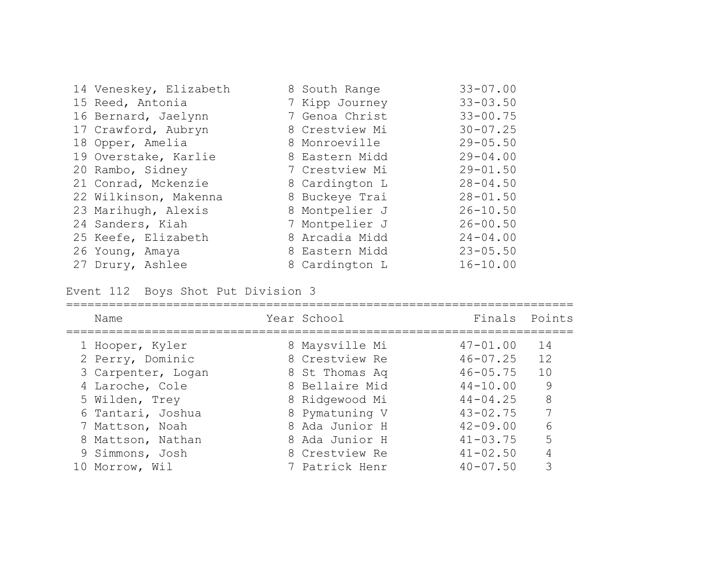| 14 Veneskey, Elizabeth | 8 South Range  | $33 - 07.00$ |
|------------------------|----------------|--------------|
| 15 Reed, Antonia       | 7 Kipp Journey | $33 - 03.50$ |
| 16 Bernard, Jaelynn    | 7 Genoa Christ | $33 - 00.75$ |
| 17 Crawford, Aubryn    | 8 Crestview Mi | $30 - 07.25$ |
| 18 Opper, Amelia       | 8 Monroeville  | $29 - 05.50$ |
| 19 Overstake, Karlie   | 8 Eastern Midd | $29 - 04.00$ |
| 20 Rambo, Sidney       | 7 Crestview Mi | $29 - 01.50$ |
| 21 Conrad, Mckenzie    | 8 Cardington L | $28 - 04.50$ |
| 22 Wilkinson, Makenna  | 8 Buckeye Trai | $28 - 01.50$ |
| 23 Marihugh, Alexis    | 8 Montpelier J | $26 - 10.50$ |
| 24 Sanders, Kiah       | 7 Montpelier J | $26 - 00.50$ |
| 25 Keefe, Elizabeth    | 8 Arcadia Midd | $24 - 04.00$ |
| 26 Young, Amaya        | 8 Eastern Midd | $23 - 05.50$ |
| 27 Drury, Ashlee       | 8 Cardington L | $16 - 10.00$ |

Event 112 Boys Shot Put Division 3

| Name               | Year School    | Finals Points |    |
|--------------------|----------------|---------------|----|
| 1 Hooper, Kyler    | 8 Maysville Mi | $47 - 01.00$  | 14 |
| 2 Perry, Dominic   | 8 Crestview Re | $46 - 07.25$  | 12 |
| 3 Carpenter, Logan | 8 St Thomas Aq | $46 - 05.75$  | 10 |
| 4 Laroche, Cole    | 8 Bellaire Mid | $44 - 10.00$  | 9  |
| 5 Wilden, Trey     | 8 Ridgewood Mi | $44 - 04.25$  | 8  |
| 6 Tantari, Joshua  | 8 Pymatuning V | $43 - 02.75$  | 7  |
| 7 Mattson, Noah    | 8 Ada Junior H | $42 - 09.00$  | 6  |
| 8 Mattson, Nathan  | 8 Ada Junior H | $41 - 03.75$  | 5  |
| 9 Simmons, Josh    | 8 Crestview Re | $41 - 02.50$  |    |
| 10 Morrow, Wil     | 7 Patrick Henr | $40 - 07.50$  |    |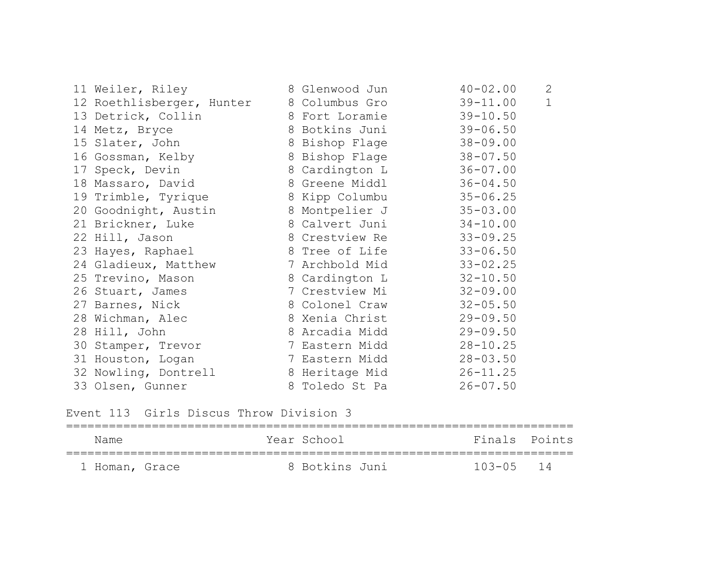| 11 Weiler, Riley                         | 8 Glenwood Jun | $40 - 02.00$ | 2            |
|------------------------------------------|----------------|--------------|--------------|
| 12 Roethlisberger, Hunter 8 Columbus Gro |                | $39 - 11.00$ | $\mathbf{1}$ |
| 13 Detrick, Collin                       | 8 Fort Loramie | $39 - 10.50$ |              |
| 14 Metz, Bryce                           | 8 Botkins Juni | $39 - 06.50$ |              |
| 15 Slater, John                          | 8 Bishop Flage | $38 - 09.00$ |              |
| 16 Gossman, Kelby                        | 8 Bishop Flage | $38 - 07.50$ |              |
| 17 Speck, Devin                          | 8 Cardington L | $36 - 07.00$ |              |
| 18 Massaro, David                        | 8 Greene Middl | $36 - 04.50$ |              |
| 19 Trimble, Tyrique                      | 8 Kipp Columbu | $35 - 06.25$ |              |
| 20 Goodnight, Austin                     | 8 Montpelier J | $35 - 03.00$ |              |
| 21 Brickner, Luke                        | 8 Calvert Juni | $34 - 10.00$ |              |
| 22 Hill, Jason                           | 8 Crestview Re | $33 - 09.25$ |              |
| 23 Hayes, Raphael                        | 8 Tree of Life | $33 - 06.50$ |              |
| 24 Gladieux, Matthew                     | 7 Archbold Mid | $33 - 02.25$ |              |
| 25 Trevino, Mason                        | 8 Cardington L | $32 - 10.50$ |              |
| 26 Stuart, James                         | 7 Crestview Mi | $32 - 09.00$ |              |
| 27 Barnes, Nick                          | 8 Colonel Craw | $32 - 05.50$ |              |
| 28 Wichman, Alec                         | 8 Xenia Christ | $29 - 09.50$ |              |
| 28 Hill, John                            | 8 Arcadia Midd | $29 - 09.50$ |              |
| 30 Stamper, Trevor                       | 7 Eastern Midd | $28 - 10.25$ |              |
| 31 Houston, Logan                        | 7 Eastern Midd | $28 - 03.50$ |              |
| 32 Nowling, Dontrell                     | 8 Heritage Mid | $26 - 11.25$ |              |
| 33 Olsen, Gunner                         | 8 Toledo St Pa | $26 - 07.50$ |              |

Event 113 Girls Discus Throw Division 3

| Name           |  | Year School    | Finals Points |  |
|----------------|--|----------------|---------------|--|
| 1 Homan, Grace |  | 8 Botkins Juni | $103 - 05$ 14 |  |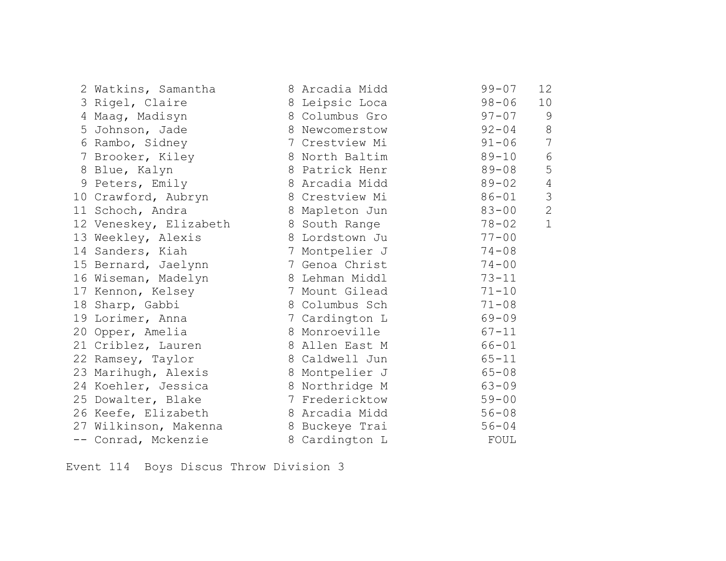| 2 Watkins, Samantha    | 8 Arcadia Midd | $99 - 07$ | 12             |
|------------------------|----------------|-----------|----------------|
| 3 Rigel, Claire        | 8 Leipsic Loca | $98 - 06$ | 10             |
| 4 Maag, Madisyn        | 8 Columbus Gro | $97 - 07$ | 9              |
| 5 Johnson, Jade        | 8 Newcomerstow | $92 - 04$ | 8              |
| 6 Rambo, Sidney        | 7 Crestview Mi | $91 - 06$ | $\overline{7}$ |
| 7 Brooker, Kiley       | 8 North Baltim | $89 - 10$ | $6\,$          |
| 8 Blue, Kalyn          | 8 Patrick Henr | $89 - 08$ | 5              |
| 9 Peters, Emily        | 8 Arcadia Midd | $89 - 02$ | $\overline{4}$ |
| 10 Crawford, Aubryn    | 8 Crestview Mi | $86 - 01$ | $\mathcal{S}$  |
| 11 Schoch, Andra       | 8 Mapleton Jun | $83 - 00$ | $\overline{2}$ |
| 12 Veneskey, Elizabeth | 8 South Range  | $78 - 02$ | $\mathbf 1$    |
| 13 Weekley, Alexis     | 8 Lordstown Ju | $77 - 00$ |                |
| 14 Sanders, Kiah       | 7 Montpelier J | $74 - 08$ |                |
| 15 Bernard, Jaelynn    | 7 Genoa Christ | $74 - 00$ |                |
| 16 Wiseman, Madelyn    | 8 Lehman Middl | $73 - 11$ |                |
| 17 Kennon, Kelsey      | 7 Mount Gilead | $71 - 10$ |                |
| 18 Sharp, Gabbi        | 8 Columbus Sch | $71 - 08$ |                |
| 19 Lorimer, Anna       | 7 Cardington L | $69 - 09$ |                |
| 20 Opper, Amelia       | 8 Monroeville  | $67 - 11$ |                |
| 21 Criblez, Lauren     | 8 Allen East M | $66 - 01$ |                |
| 22 Ramsey, Taylor      | 8 Caldwell Jun | $65 - 11$ |                |
| 23 Marihugh, Alexis    | 8 Montpelier J | $65 - 08$ |                |
| 24 Koehler, Jessica    | 8 Northridge M | $63 - 09$ |                |
| 25 Dowalter, Blake     | 7 Fredericktow | $59 - 00$ |                |
| 26 Keefe, Elizabeth    | 8 Arcadia Midd | $56 - 08$ |                |
| 27 Wilkinson, Makenna  | 8 Buckeye Trai | $56 - 04$ |                |
| -- Conrad, Mckenzie    | 8 Cardington L | FOUL      |                |

Event 114 Boys Discus Throw Division 3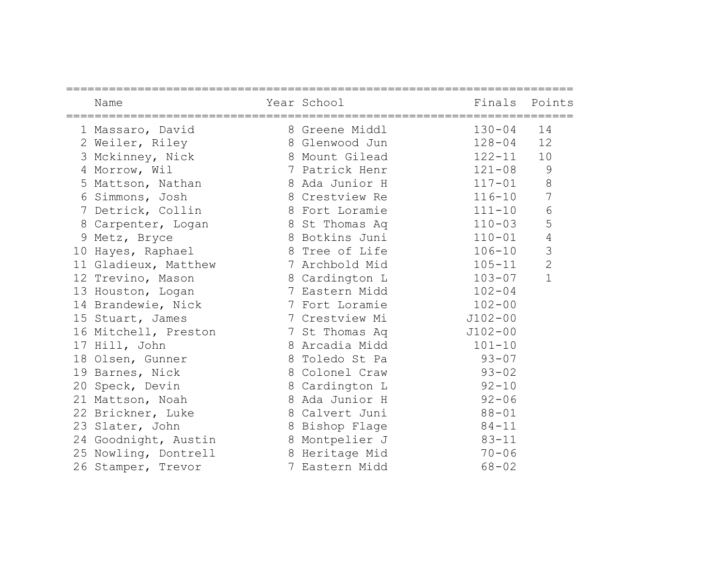|    | Name                 | Year School    | Finals Points |                |
|----|----------------------|----------------|---------------|----------------|
|    | 1 Massaro, David     | 8 Greene Middl | $130 - 04$    | 14             |
|    | 2 Weiler, Riley      | 8 Glenwood Jun | $128 - 04$    | 12             |
|    | 3 Mckinney, Nick     | 8 Mount Gilead | 122-11        | 10             |
|    | 4 Morrow, Wil        | 7 Patrick Henr | $121 - 08$    | 9              |
|    | 5 Mattson, Nathan    | 8 Ada Junior H | $117 - 01$    | $\,8\,$        |
|    | 6 Simmons, Josh      | 8 Crestview Re | $116 - 10$    | $\overline{7}$ |
|    | 7 Detrick, Collin    | 8 Fort Loramie | $111 - 10$    | $6\,$          |
|    | 8 Carpenter, Logan   | 8 St Thomas Aq | $110 - 03$    | 5              |
|    | 9 Metz, Bryce        | 8 Botkins Juni | $110 - 01$    | $\sqrt{4}$     |
| 10 | Hayes, Raphael       | 8 Tree of Life | $106 - 10$    | $\mathfrak{Z}$ |
|    | 11 Gladieux, Matthew | 7 Archbold Mid | $105 - 11$    | $\overline{2}$ |
|    | 12 Trevino, Mason    | 8 Cardington L | $103 - 07$    | $\mathbf{1}$   |
|    | 13 Houston, Logan    | 7 Eastern Midd | $102 - 04$    |                |
|    | 14 Brandewie, Nick   | 7 Fort Loramie | $102 - 00$    |                |
|    | 15 Stuart, James     | 7 Crestview Mi | $J102 - 00$   |                |
|    | 16 Mitchell, Preston | 7 St Thomas Aq | $J102 - 00$   |                |
|    | 17 Hill, John        | 8 Arcadia Midd | $101 - 10$    |                |
|    | 18 Olsen, Gunner     | 8 Toledo St Pa | $93 - 07$     |                |
|    | 19 Barnes, Nick      | 8 Colonel Craw | $93 - 02$     |                |
|    | 20 Speck, Devin      | 8 Cardington L | $92 - 10$     |                |
|    | 21 Mattson, Noah     | 8 Ada Junior H | $92 - 06$     |                |
|    | 22 Brickner, Luke    | 8 Calvert Juni | $88 - 01$     |                |
|    | 23 Slater, John      | 8 Bishop Flage | $84 - 11$     |                |
|    | 24 Goodnight, Austin | 8 Montpelier J | $83 - 11$     |                |
|    | 25 Nowling, Dontrell | 8 Heritage Mid | $70 - 06$     |                |
|    | 26 Stamper, Trevor   | 7 Eastern Midd | $68 - 02$     |                |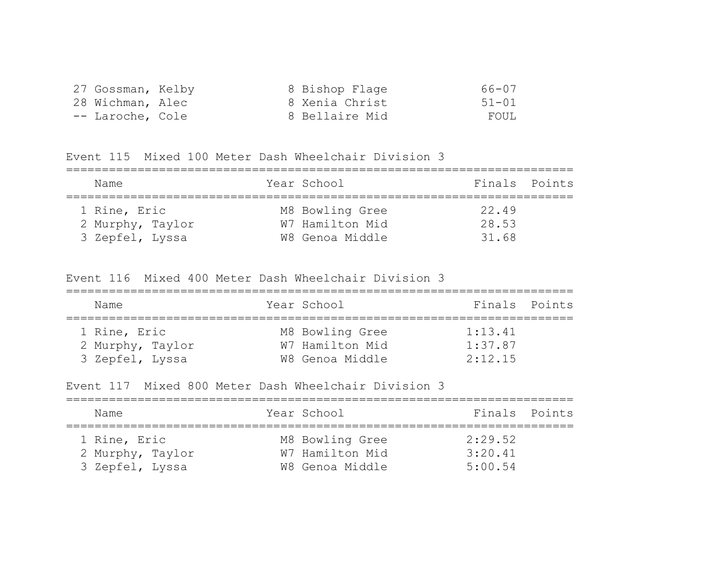| 27 Gossman, Kelby |  | 8 Bishop Flage | 66-07     |
|-------------------|--|----------------|-----------|
| 28 Wichman, Alec  |  | 8 Xenia Christ | $51 - 01$ |
| -- Laroche, Cole  |  | 8 Bellaire Mid | FOUL      |

Event 115 Mixed 100 Meter Dash Wheelchair Division 3

| Name             | Year School     | Finals Points |
|------------------|-----------------|---------------|
| 1 Rine, Eric     | M8 Bowling Gree | 22.49         |
| 2 Murphy, Taylor | W7 Hamilton Mid | 28.53         |
| 3 Zepfel, Lyssa  | W8 Genoa Middle | 31.68         |

Event 116 Mixed 400 Meter Dash Wheelchair Division 3

| Name             | Year School     | Finals Points |
|------------------|-----------------|---------------|
| 1 Rine, Eric     | M8 Bowling Gree | 1:13.41       |
| 2 Murphy, Taylor | W7 Hamilton Mid | 1:37.87       |
| 3 Zepfel, Lyssa  | W8 Genoa Middle | 2:12.15       |

Event 117 Mixed 800 Meter Dash Wheelchair Division 3

| Name                                                | Year School                                           | Finals Points                 |
|-----------------------------------------------------|-------------------------------------------------------|-------------------------------|
| 1 Rine, Eric<br>2 Murphy, Taylor<br>3 Zepfel, Lyssa | M8 Bowling Gree<br>W7 Hamilton Mid<br>W8 Genoa Middle | 2:29.52<br>3:20.41<br>5:00.54 |